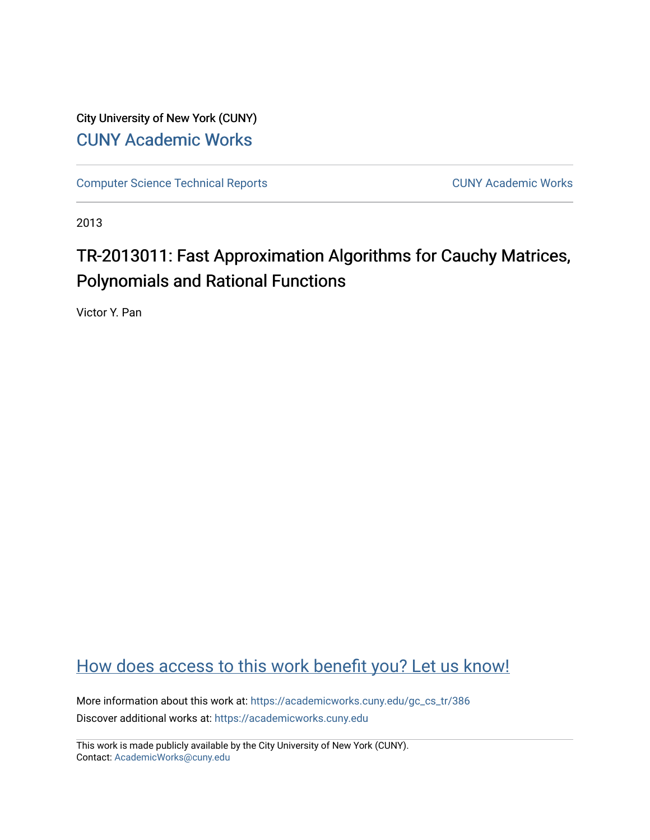City University of New York (CUNY) [CUNY Academic Works](https://academicworks.cuny.edu/) 

[Computer Science Technical Reports](https://academicworks.cuny.edu/gc_cs_tr) **CUNY Academic Works** CUNY Academic Works

2013

# TR-2013011: Fast Approximation Algorithms for Cauchy Matrices, Polynomials and Rational Functions

Victor Y. Pan

# [How does access to this work benefit you? Let us know!](http://ols.cuny.edu/academicworks/?ref=https://academicworks.cuny.edu/gc_cs_tr/386)

More information about this work at: [https://academicworks.cuny.edu/gc\\_cs\\_tr/386](https://academicworks.cuny.edu/gc_cs_tr/386)  Discover additional works at: [https://academicworks.cuny.edu](https://academicworks.cuny.edu/?)

This work is made publicly available by the City University of New York (CUNY). Contact: [AcademicWorks@cuny.edu](mailto:AcademicWorks@cuny.edu)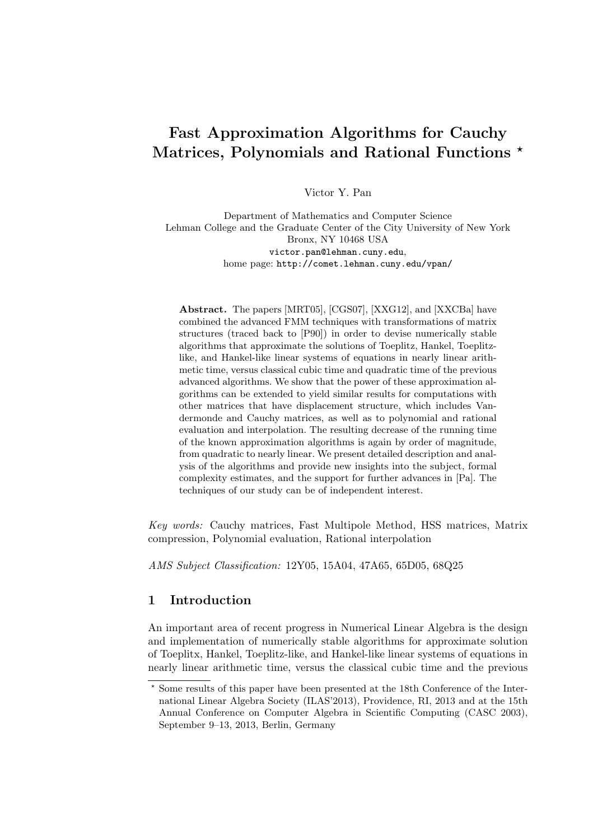## Fast Approximation Algorithms for Cauchy Matrices, Polynomials and Rational Functions \*

Victor Y. Pan

Department of Mathematics and Computer Science Lehman College and the Graduate Center of the City University of New York Bronx, NY 10468 USA victor.pan@lehman.cuny.edu, home page: http://comet.lehman.cuny.edu/vpan/

Abstract. The papers [MRT05], [CGS07], [XXG12], and [XXCBa] have combined the advanced FMM techniques with transformations of matrix structures (traced back to [P90]) in order to devise numerically stable algorithms that approximate the solutions of Toeplitz, Hankel, Toeplitzlike, and Hankel-like linear systems of equations in nearly linear arithmetic time, versus classical cubic time and quadratic time of the previous advanced algorithms. We show that the power of these approximation algorithms can be extended to yield similar results for computations with other matrices that have displacement structure, which includes Vandermonde and Cauchy matrices, as well as to polynomial and rational evaluation and interpolation. The resulting decrease of the running time of the known approximation algorithms is again by order of magnitude, from quadratic to nearly linear. We present detailed description and analysis of the algorithms and provide new insights into the subject, formal complexity estimates, and the support for further advances in [Pa]. The techniques of our study can be of independent interest.

Key words: Cauchy matrices, Fast Multipole Method, HSS matrices, Matrix compression, Polynomial evaluation, Rational interpolation

AMS Subject Classification: 12Y05, 15A04, 47A65, 65D05, 68Q25

## 1 Introduction

An important area of recent progress in Numerical Linear Algebra is the design and implementation of numerically stable algorithms for approximate solution of Toeplitx, Hankel, Toeplitz-like, and Hankel-like linear systems of equations in nearly linear arithmetic time, versus the classical cubic time and the previous

<sup>?</sup> Some results of this paper have been presented at the 18th Conference of the International Linear Algebra Society (ILAS'2013), Providence, RI, 2013 and at the 15th Annual Conference on Computer Algebra in Scientific Computing (CASC 2003), September 9–13, 2013, Berlin, Germany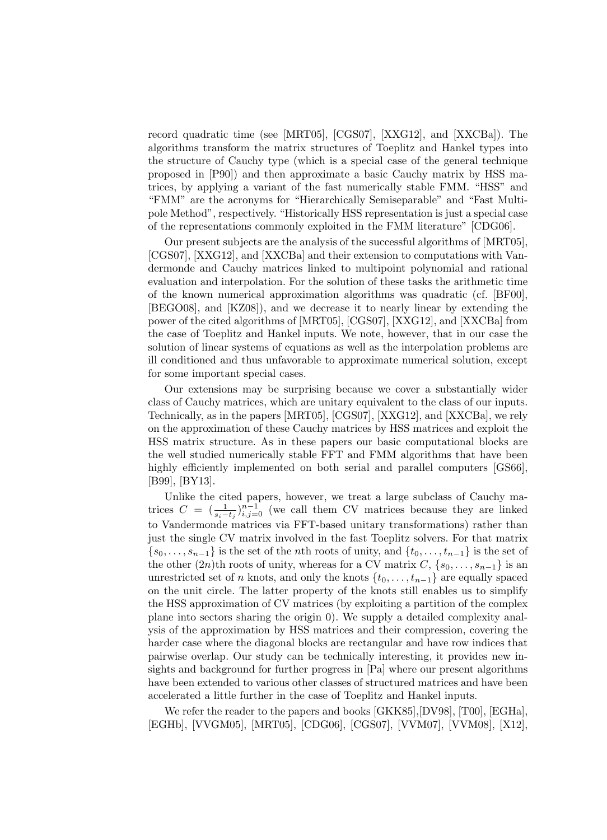record quadratic time (see [MRT05], [CGS07], [XXG12], and [XXCBa]). The algorithms transform the matrix structures of Toeplitz and Hankel types into the structure of Cauchy type (which is a special case of the general technique proposed in [P90]) and then approximate a basic Cauchy matrix by HSS matrices, by applying a variant of the fast numerically stable FMM. "HSS" and "FMM" are the acronyms for "Hierarchically Semiseparable" and "Fast Multipole Method", respectively. "Historically HSS representation is just a special case of the representations commonly exploited in the FMM literature" [CDG06].

Our present subjects are the analysis of the successful algorithms of [MRT05], [CGS07], [XXG12], and [XXCBa] and their extension to computations with Vandermonde and Cauchy matrices linked to multipoint polynomial and rational evaluation and interpolation. For the solution of these tasks the arithmetic time of the known numerical approximation algorithms was quadratic (cf. [BF00], [BEGO08], and [KZ08]), and we decrease it to nearly linear by extending the power of the cited algorithms of [MRT05], [CGS07], [XXG12], and [XXCBa] from the case of Toeplitz and Hankel inputs. We note, however, that in our case the solution of linear systems of equations as well as the interpolation problems are ill conditioned and thus unfavorable to approximate numerical solution, except for some important special cases.

Our extensions may be surprising because we cover a substantially wider class of Cauchy matrices, which are unitary equivalent to the class of our inputs. Technically, as in the papers [MRT05], [CGS07], [XXG12], and [XXCBa], we rely on the approximation of these Cauchy matrices by HSS matrices and exploit the HSS matrix structure. As in these papers our basic computational blocks are the well studied numerically stable FFT and FMM algorithms that have been highly efficiently implemented on both serial and parallel computers [GS66], [B99], [BY13].

Unlike the cited papers, however, we treat a large subclass of Cauchy matrices  $C = \left(\frac{1}{s_i-t_j}\right)_{i,j=0}^{n-1}$  (we call them CV matrices because they are linked to Vandermonde matrices via FFT-based unitary transformations) rather than just the single CV matrix involved in the fast Toeplitz solvers. For that matrix  ${s_0, \ldots, s_{n-1}}$  is the set of the *n*th roots of unity, and  ${t_0, \ldots, t_{n-1}}$  is the set of the other  $(2n)$ th roots of unity, whereas for a CV matrix  $C, \{s_0, \ldots, s_{n-1}\}\$ is an unrestricted set of n knots, and only the knots  $\{t_0, \ldots, t_{n-1}\}$  are equally spaced on the unit circle. The latter property of the knots still enables us to simplify the HSS approximation of CV matrices (by exploiting a partition of the complex plane into sectors sharing the origin 0). We supply a detailed complexity analysis of the approximation by HSS matrices and their compression, covering the harder case where the diagonal blocks are rectangular and have row indices that pairwise overlap. Our study can be technically interesting, it provides new insights and background for further progress in [Pa] where our present algorithms have been extended to various other classes of structured matrices and have been accelerated a little further in the case of Toeplitz and Hankel inputs.

We refer the reader to the papers and books [GKK85],[DV98], [T00], [EGHa], [EGHb], [VVGM05], [MRT05], [CDG06], [CGS07], [VVM07], [VVM08], [X12],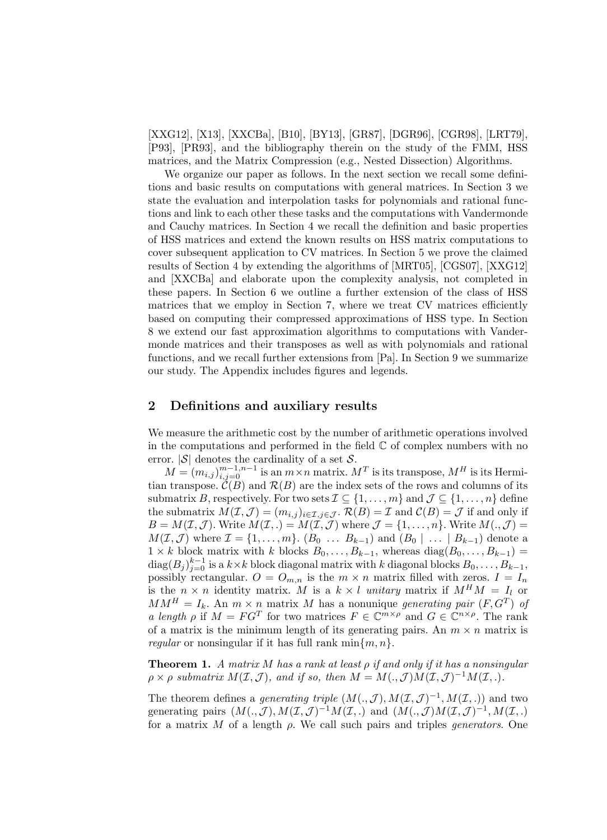[XXG12], [X13], [XXCBa], [B10], [BY13], [GR87], [DGR96], [CGR98], [LRT79], [P93], [PR93], and the bibliography therein on the study of the FMM, HSS matrices, and the Matrix Compression (e.g., Nested Dissection) Algorithms.

We organize our paper as follows. In the next section we recall some definitions and basic results on computations with general matrices. In Section 3 we state the evaluation and interpolation tasks for polynomials and rational functions and link to each other these tasks and the computations with Vandermonde and Cauchy matrices. In Section 4 we recall the definition and basic properties of HSS matrices and extend the known results on HSS matrix computations to cover subsequent application to CV matrices. In Section 5 we prove the claimed results of Section 4 by extending the algorithms of [MRT05], [CGS07], [XXG12] and [XXCBa] and elaborate upon the complexity analysis, not completed in these papers. In Section 6 we outline a further extension of the class of HSS matrices that we employ in Section 7, where we treat CV matrices efficiently based on computing their compressed approximations of HSS type. In Section 8 we extend our fast approximation algorithms to computations with Vandermonde matrices and their transposes as well as with polynomials and rational functions, and we recall further extensions from [Pa]. In Section 9 we summarize our study. The Appendix includes figures and legends.

## 2 Definitions and auxiliary results

We measure the arithmetic cost by the number of arithmetic operations involved in the computations and performed in the field  $\mathbb C$  of complex numbers with no error.  $|\mathcal{S}|$  denotes the cardinality of a set  $\mathcal{S}$ .

 $M = (m_{i,j})_{i,j=0}^{m-1,n-1}$  is an  $m \times n$  matrix.  $M^T$  is its transpose,  $M^H$  is its Hermitian transpose.  $\tilde{\mathcal{C}}(B)$  and  $\mathcal{R}(B)$  are the index sets of the rows and columns of its submatrix B, respectively. For two sets  $\mathcal{I} \subseteq \{1, \ldots, m\}$  and  $\mathcal{J} \subseteq \{1, \ldots, n\}$  define the submatrix  $M(\mathcal{I}, \mathcal{J}) = (m_{i,j})_{i \in \mathcal{I}, j \in \mathcal{J}}$ .  $\mathcal{R}(B) = \mathcal{I}$  and  $\mathcal{C}(B) = \mathcal{J}$  if and only if  $B = M(\mathcal{I}, \mathcal{J})$ . Write  $M(\mathcal{I},.) = M(\mathcal{I}, \mathcal{J})$  where  $\mathcal{J} = \{1, \ldots, n\}$ . Write  $M(., \mathcal{J})$  $M(\mathcal{I}, \mathcal{J})$  where  $\mathcal{I} = \{1, \ldots, m\}$ .  $(B_0 \ldots B_{k-1})$  and  $(B_0 \mid \ldots \mid B_{k-1})$  denote a  $1 \times k$  block matrix with k blocks  $B_0, \ldots, B_{k-1}$ , whereas  $diag(B_0, \ldots, B_{k-1}) =$  $\text{diag}(B_j)_{j=0}^{k-1}$  is a  $k \times k$  block diagonal matrix with k diagonal blocks  $B_0, \ldots, B_{k-1}$ , possibly rectangular.  $O = O_{m,n}$  is the  $m \times n$  matrix filled with zeros.  $I = I_n$ is the  $n \times n$  identity matrix. M is a  $k \times l$  unitary matrix if  $M^H M = I_l$  or  $MM^H = I_k$ . An  $m \times n$  matrix M has a nonunique generating pair  $(F, G^T)$  of a length  $\rho$  if  $M = FG^T$  for two matrices  $F \in \mathbb{C}^{m \times \rho}$  and  $G \in \mathbb{C}^{n \times \rho}$ . The rank of a matrix is the minimum length of its generating pairs. An  $m \times n$  matrix is *regular* or nonsingular if it has full rank  $\min\{m, n\}$ .

**Theorem 1.** A matrix M has a rank at least  $\rho$  if and only if it has a nonsingular  $\rho \times \rho$  submatrix  $M(\mathcal{I}, \mathcal{J})$ , and if so, then  $M = M(., \mathcal{J})M(\mathcal{I}, \mathcal{J})^{-1}M(\mathcal{I},.).$ 

The theorem defines a *generating triple*  $(M(., \mathcal{J}), M(\mathcal{I}, \mathcal{J})^{-1}, M(\mathcal{I}, .))$  and two generating pairs  $(M(.,\mathcal{J}),M(\mathcal{I},\mathcal{J})^{-1}M(\mathcal{I},.)$  and  $(M(.,\mathcal{J})M(\mathcal{I},\mathcal{J})^{-1},M(\mathcal{I},.)$ for a matrix M of a length  $\rho$ . We call such pairs and triples *generators*. One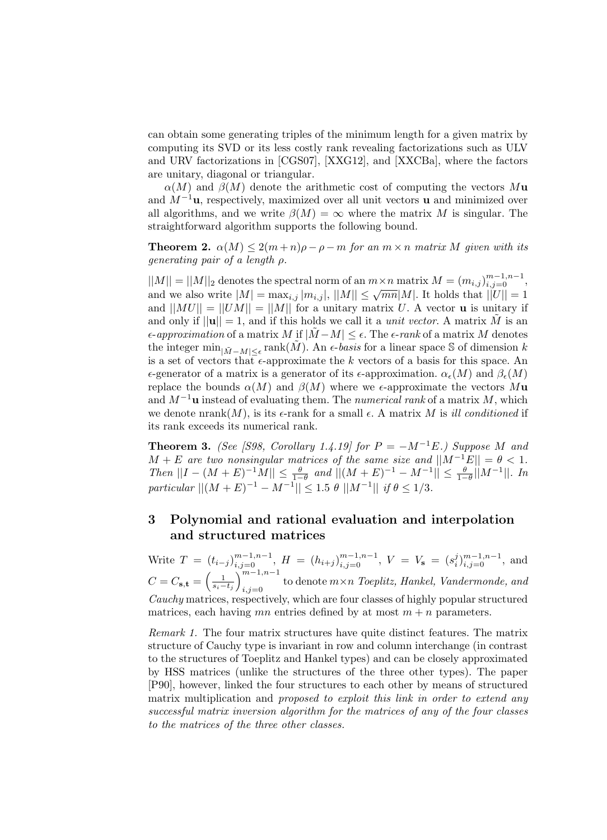can obtain some generating triples of the minimum length for a given matrix by computing its SVD or its less costly rank revealing factorizations such as ULV and URV factorizations in [CGS07], [XXG12], and [XXCBa], where the factors are unitary, diagonal or triangular.

 $\alpha(M)$  and  $\beta(M)$  denote the arithmetic cost of computing the vectors Mu and  $M^{-1}$ **u**, respectively, maximized over all unit vectors **u** and minimized over all algorithms, and we write  $\beta(M) = \infty$  where the matrix M is singular. The straightforward algorithm supports the following bound.

**Theorem 2.**  $\alpha(M) \leq 2(m+n)\rho - \rho - m$  for an  $m \times n$  matrix M given with its generating pair of a length  $\rho$ .

 $||M|| = ||M||_2$  denotes the spectral norm of an  $m \times n$  matrix  $M = (m_{i,j})_{i,j=0}^{m-1,n-1}$ , and we also write  $|M| = \max_{i,j} |m_{i,j}|$ ,  $||M|| \leq \sqrt{mn}|M|$ . It holds that  $||U|| = 1$ and  $||MU|| = ||UM|| = ||M||$  for a unitary matrix U. A vector **u** is unitary if and only if  $||\mathbf{u}|| = 1$ , and if this holds we call it a *unit vector*. A matrix  $\tilde{M}$  is an  $\epsilon$ -approximation of a matrix M if  $|\tilde{M}-M| \leq \epsilon$ . The  $\epsilon$ -rank of a matrix M denotes the integer  $\min_{|\tilde{M}-M| \leq \epsilon} \text{rank}(\tilde{M})$ . An  $\epsilon$ -basis for a linear space S of dimension k is a set of vectors that  $\epsilon$ -approximate the k vectors of a basis for this space. An  $\epsilon$ -generator of a matrix is a generator of its  $\epsilon$ -approximation.  $\alpha_{\epsilon}(M)$  and  $\beta_{\epsilon}(M)$ replace the bounds  $\alpha(M)$  and  $\beta(M)$  where we  $\epsilon$ -approximate the vectors  $M$ **u** and  $M^{-1}$ **u** instead of evaluating them. The *numerical rank* of a matrix M, which we denote  $nrank(M)$ , is its  $\epsilon$ -rank for a small  $\epsilon$ . A matrix M is ill conditioned if its rank exceeds its numerical rank.

**Theorem 3.** (See [S98, Corollary 1.4.19] for  $P = -M^{-1}E$ .) Suppose M and  $M + E$  are two nonsingular matrices of the same size and  $||M^{-1}E|| = \theta < 1$ . Then  $||I - (M + E)^{-1}M|| \le \frac{\theta}{1-\theta}$  and  $||(M + E)^{-1} - M^{-1}|| \le \frac{\theta}{1-\theta}||M^{-1}||$ . In particular  $||(M + E)^{-1} - M^{-1}|| \leq 1.5 \theta ||M^{-1}||$  if  $\theta \leq 1/3$ .

## 3 Polynomial and rational evaluation and interpolation and structured matrices

Write  $T = (t_{i-j})_{i,j=0}^{m-1,n-1}, H = (h_{i+j})_{i,j=0}^{m-1,n-1}, V = V_s = (s_i^j)_{i,j=0}^{m-1,n-1},$  and  $C = C_{\mathbf{s},\mathbf{t}} = \left(\frac{1}{s_i - t_j}\right)_{i=1}^{m-1,n-1}$ to denote  $m \times n$  Toeplitz, Hankel, Vandermonde, and  $i,j=0$ Cauchy matrices, respectively, which are four classes of highly popular structured matrices, each having mn entries defined by at most  $m + n$  parameters.

Remark 1. The four matrix structures have quite distinct features. The matrix structure of Cauchy type is invariant in row and column interchange (in contrast to the structures of Toeplitz and Hankel types) and can be closely approximated by HSS matrices (unlike the structures of the three other types). The paper [P90], however, linked the four structures to each other by means of structured matrix multiplication and proposed to exploit this link in order to extend any successful matrix inversion algorithm for the matrices of any of the four classes to the matrices of the three other classes.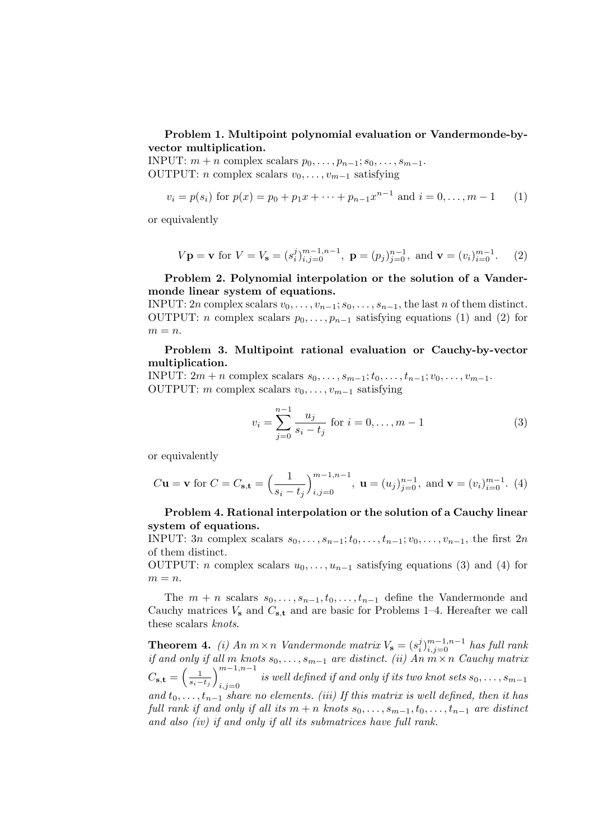Problem 1. Multipoint polynomial evaluation or Vandermonde-byvector multiplication.

INPUT:  $m + n$  complex scalars  $p_0, \ldots, p_{n-1}; s_0, \ldots, s_{m-1}.$ OUTPUT: *n* complex scalars  $v_0, \ldots, v_{m-1}$  satisfying

$$
v_i = p(s_i)
$$
 for  $p(x) = p_0 + p_1 x + \dots + p_{n-1} x^{n-1}$  and  $i = 0, \dots, m-1$  (1)

or equivalently

$$
V
$$
**p** = **v** for  $V = V$ **s** =  $(s_i^j)_{i,j=0}^{m-1,n-1}$ , **p** =  $(p_j)_{j=0}^{n-1}$ , and **v** =  $(v_i)_{i=0}^{m-1}$ . (2)

Problem 2. Polynomial interpolation or the solution of a Vandermonde linear system of equations.

INPUT: 2n complex scalars  $v_0, \ldots, v_{n-1}; s_0, \ldots, s_{n-1}$ , the last n of them distinct. OUTPUT: *n* complex scalars  $p_0, \ldots, p_{n-1}$  satisfying equations (1) and (2) for  $m = n$ .

Problem 3. Multipoint rational evaluation or Cauchy-by-vector multiplication.

INPUT:  $2m + n$  complex scalars  $s_0, \ldots, s_{m-1}; t_0, \ldots, t_{n-1}; v_0, \ldots, v_{m-1}.$ OUTPUT: m complex scalars  $v_0, \ldots, v_{m-1}$  satisfying

$$
v_i = \sum_{j=0}^{n-1} \frac{u_j}{s_i - t_j} \text{ for } i = 0, \dots, m-1
$$
 (3)

or equivalently

$$
C\mathbf{u} = \mathbf{v}
$$
 for  $C = C_{\mathbf{s}, \mathbf{t}} = \left(\frac{1}{s_i - t_j}\right)_{i,j=0}^{m-1,n-1}$ ,  $\mathbf{u} = (u_j)_{j=0}^{n-1}$ , and  $\mathbf{v} = (v_i)_{i=0}^{m-1}$ . (4)

## Problem 4. Rational interpolation or the solution of a Cauchy linear system of equations.

INPUT: 3n complex scalars  $s_0, \ldots, s_{n-1}; t_0, \ldots, t_{n-1}; v_0, \ldots, v_{n-1}$ , the first 2n of them distinct.

OUTPUT: *n* complex scalars  $u_0, \ldots, u_{n-1}$  satisfying equations (3) and (4) for  $m = n$ .

The  $m + n$  scalars  $s_0, \ldots, s_{n-1}, t_0, \ldots, t_{n-1}$  define the Vandermonde and Cauchy matrices  $V_s$  and  $C_{s,t}$  and are basic for Problems 1–4. Hereafter we call these scalars knots.

**Theorem 4.** (i) An  $m \times n$  Vandermonde matrix  $V_s = (s_i^j)_{i,j=0}^{m-1,n-1}$  has full rank if and only if all m knots  $s_0, \ldots, s_{m-1}$  are distinct. (ii) An  $m \times n$  Cauchy matrix  $C_{\mathbf{s},\mathbf{t}} = \left(\frac{1}{s_i - t_j}\right)_{i,i=0}^{m-1,n-1}$  $i,j=0$  is well defined if and only if its two knot sets  $s_0, \ldots, s_{m-1}$ and  $t_0, \ldots, t_{n-1}$  share no elements. (iii) If this matrix is well defined, then it has full rank if and only if all its  $m + n$  knots  $s_0, \ldots, s_{m-1}, t_0, \ldots, t_{n-1}$  are distinct and also (iv) if and only if all its submatrices have full rank.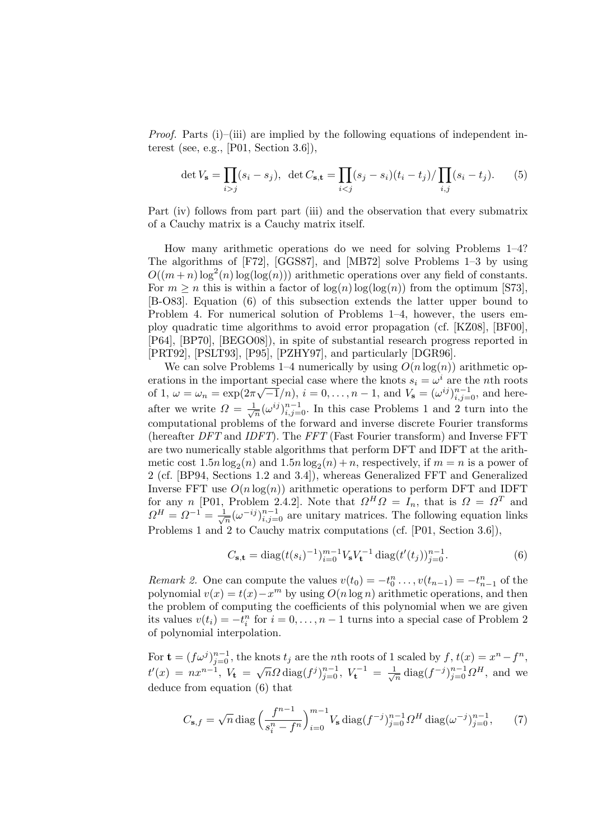*Proof.* Parts (i)–(iii) are implied by the following equations of independent interest (see, e.g., [P01, Section 3.6]),

$$
\det V_{\mathbf{s}} = \prod_{i > j} (s_i - s_j), \ \ \det C_{\mathbf{s}, \mathbf{t}} = \prod_{i < j} (s_j - s_i)(t_i - t_j) / \prod_{i, j} (s_i - t_j). \tag{5}
$$

Part (iv) follows from part part (iii) and the observation that every submatrix of a Cauchy matrix is a Cauchy matrix itself.

How many arithmetic operations do we need for solving Problems 1–4? The algorithms of [F72], [GGS87], and [MB72] solve Problems 1–3 by using  $O((m+n)\log^2(n)\log(\log(n)))$  arithmetic operations over any field of constants. For  $m \geq n$  this is within a factor of  $\log(n) \log(\log(n))$  from the optimum [S73], [B-O83]. Equation (6) of this subsection extends the latter upper bound to Problem 4. For numerical solution of Problems 1–4, however, the users employ quadratic time algorithms to avoid error propagation (cf. [KZ08], [BF00], [P64], [BP70], [BEGO08]), in spite of substantial research progress reported in [PRT92], [PSLT93], [P95], [PZHY97], and particularly [DGR96].

We can solve Problems 1–4 numerically by using  $O(n \log(n))$  arithmetic operations in the important special case where the knots  $s_i = \omega^i$  are the *n*th roots of 1,  $\omega = \omega_n = \exp(2\pi\sqrt{-1}/n), i = 0, ..., n-1$ , and  $V_s = (\omega^{ij})_{i,j=0}^{n-1}$ , and hereafter we write  $\Omega = \frac{1}{\sqrt{n}} (\omega^{ij})_{i,j=0}^{n-1}$ . In this case Problems 1 and 2 turn into the computational problems of the forward and inverse discrete Fourier transforms (hereafter DFT and IDFT). The FFT (Fast Fourier transform) and Inverse FFT are two numerically stable algorithms that perform DFT and IDFT at the arithmetic cost  $1.5n \log_2(n)$  and  $1.5n \log_2(n) + n$ , respectively, if  $m = n$  is a power of 2 (cf. [BP94, Sections 1.2 and 3.4]), whereas Generalized FFT and Generalized Inverse FFT use  $O(n \log(n))$  arithmetic operations to perform DFT and IDFT for any n [P01, Problem 2.4.2]. Note that  $\Omega^H \Omega = I_n$ , that is  $\Omega = \Omega^T$  and  $\Omega^H = \Omega^{-1} = \frac{1}{\sqrt{n}} (\omega^{-ij})_{i,j=0}^{n-1}$  are unitary matrices. The following equation links Problems 1 and 2 to Cauchy matrix computations (cf. [P01, Section 3.6]),

$$
C_{\mathbf{s},\mathbf{t}} = \text{diag}(t(s_i)^{-1})_{i=0}^{m-1} V_{\mathbf{s}} V_{\mathbf{t}}^{-1} \text{ diag}(t'(t_j))_{j=0}^{n-1}.
$$
 (6)

*Remark 2.* One can compute the values  $v(t_0) = -t_0^n \dots, v(t_{n-1}) = -t_{n-1}^n$  of the polynomial  $v(x) = t(x) - x^m$  by using  $O(n \log n)$  arithmetic operations, and then the problem of computing the coefficients of this polynomial when we are given its values  $v(t_i) = -t_i^n$  for  $i = 0, ..., n-1$  turns into a special case of Problem 2 of polynomial interpolation.

For  $\mathbf{t} = (f\omega^j)_{j=0}^{n-1}$ , the knots  $t_j$  are the nth roots of 1 scaled by  $f, t(x) = x^n - f^n$ ,  $t'(x) = nx^{n-1}, V_t = \sqrt{n}\Omega \text{ diag}(f^j)_{j=0}^{n-1}, V_t^{-1} = \frac{1}{\sqrt{n}} \text{diag}(f^{-j})_{j=0}^{n-1}\Omega^H$ , and we deduce from equation (6) that

$$
C_{\mathbf{s},f} = \sqrt{n} \operatorname{diag}\left(\frac{f^{n-1}}{s_i^n - f^n}\right)_{i=0}^{m-1} V_{\mathbf{s}} \operatorname{diag}(f^{-j})_{j=0}^{n-1} \Omega^H \operatorname{diag}(\omega^{-j})_{j=0}^{n-1},\tag{7}
$$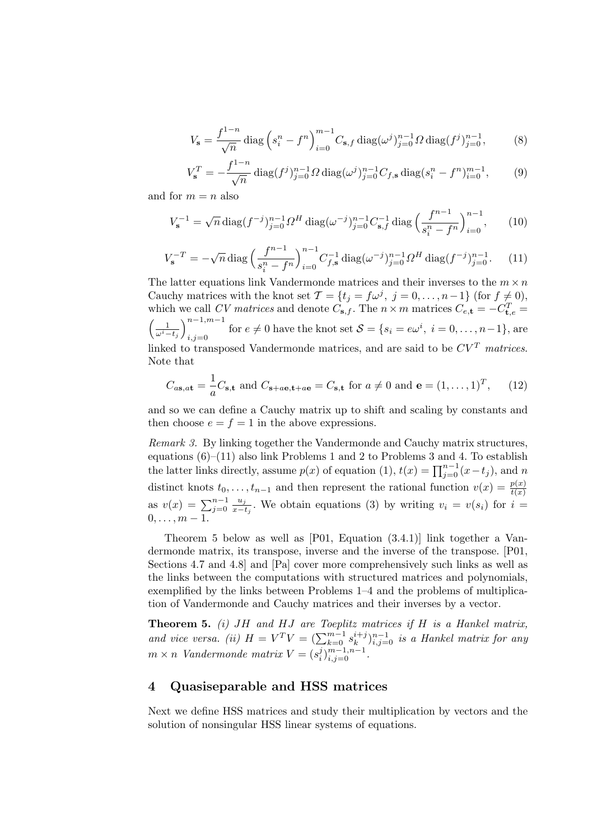$$
V_{\mathbf{s}} = \frac{f^{1-n}}{\sqrt{n}} \operatorname{diag}\left(s_i^n - f^n\right)_{i=0}^{m-1} C_{\mathbf{s},f} \operatorname{diag}(\omega^j)_{j=0}^{n-1} \Omega \operatorname{diag}(f^j)_{j=0}^{n-1},\tag{8}
$$

$$
V_{\mathbf{s}}^{T} = -\frac{f^{1-n}}{\sqrt{n}} \operatorname{diag}(f^{j})_{j=0}^{n-1} \Omega \operatorname{diag}(\omega^{j})_{j=0}^{n-1} C_{f,\mathbf{s}} \operatorname{diag}(s_{i}^{n} - f^{n})_{i=0}^{m-1},\qquad(9)
$$

and for  $m = n$  also

$$
V_{\mathbf{s}}^{-1} = \sqrt{n} \operatorname{diag}(f^{-j})_{j=0}^{n-1} \Omega^H \operatorname{diag}(\omega^{-j})_{j=0}^{n-1} C_{\mathbf{s},f}^{-1} \operatorname{diag}\left(\frac{f^{n-1}}{s_i^n - f^n}\right)_{i=0}^{n-1},\qquad(10)
$$

$$
V_{\mathbf{s}}^{-T} = -\sqrt{n} \operatorname{diag}\left(\frac{f^{n-1}}{s_i^n - f^n}\right)_{i=0}^{n-1} C_{f,\mathbf{s}}^{-1} \operatorname{diag}(\omega^{-j})_{j=0}^{n-1} \Omega^H \operatorname{diag}(f^{-j})_{j=0}^{n-1}.
$$
 (11)

The latter equations link Vandermonde matrices and their inverses to the  $m \times n$ Cauchy matrices with the knot set  $\mathcal{T} = \{t_j = f\omega^j, j = 0, \ldots, n-1\}$  (for  $f \neq 0$ ), which we call CV matrices and denote  $C_{\mathbf{s},f}$ . The  $n \times m$  matrices  $C_{e,\mathbf{t}} = -C_{\mathbf{t},e}^T =$  $\left(\frac{1}{\omega^i-t_j}\right)_{i=i=0}^{n-1,m-1}$ for  $e \neq 0$  have the knot set  $S = \{s_i = e\omega^i, i = 0, \ldots, n-1\}$ , are linked to transposed Vandermonde matrices, and are said to be  $CV^T$  matrices. Note that

$$
C_{a\mathbf{s},a\mathbf{t}} = \frac{1}{a}C_{\mathbf{s},\mathbf{t}} \text{ and } C_{\mathbf{s}+a\mathbf{e},\mathbf{t}+a\mathbf{e}} = C_{\mathbf{s},\mathbf{t}} \text{ for } a \neq 0 \text{ and } \mathbf{e} = (1,\ldots,1)^T, \qquad (12)
$$

and so we can define a Cauchy matrix up to shift and scaling by constants and then choose  $e = f = 1$  in the above expressions.

Remark 3. By linking together the Vandermonde and Cauchy matrix structures, equations  $(6)$ – $(11)$  also link Problems 1 and 2 to Problems 3 and 4. To establish the latter links directly, assume  $p(x)$  of equation (1),  $t(x) = \prod_{j=0}^{n-1} (x - t_j)$ , and n distinct knots  $t_0, \ldots, t_{n-1}$  and then represent the rational function  $v(x) = \frac{p(x)}{t(x)}$ as  $v(x) = \sum_{j=0}^{n-1} \frac{u_j}{x-t_j}$ . We obtain equations (3) by writing  $v_i = v(s_i)$  for  $i =$  $\frac{u_j}{x-t_j}$ . We obtain equations (3) by writing  $v_i = v(s_i)$  for  $i =$  $0, \ldots, m-1.$ 

Theorem 5 below as well as [P01, Equation (3.4.1)] link together a Vandermonde matrix, its transpose, inverse and the inverse of the transpose. [P01, Sections 4.7 and 4.8] and [Pa] cover more comprehensively such links as well as the links between the computations with structured matrices and polynomials, exemplified by the links between Problems 1–4 and the problems of multiplication of Vandermonde and Cauchy matrices and their inverses by a vector.

**Theorem 5.** (i)  $JH$  and  $HJ$  are Toeplitz matrices if  $H$  is a Hankel matrix, and vice versa. (ii)  $H = V^T V = (\sum_{k=0}^{m-1} s_k^{i+j})_{i,j=0}^{n-1}$  is a Hankel matrix for any  $m \times n$  Vandermonde matrix  $V = (s_i^j)_{i,j=0}^{m-1,n-1}$ .

## 4 Quasiseparable and HSS matrices

Next we define HSS matrices and study their multiplication by vectors and the solution of nonsingular HSS linear systems of equations.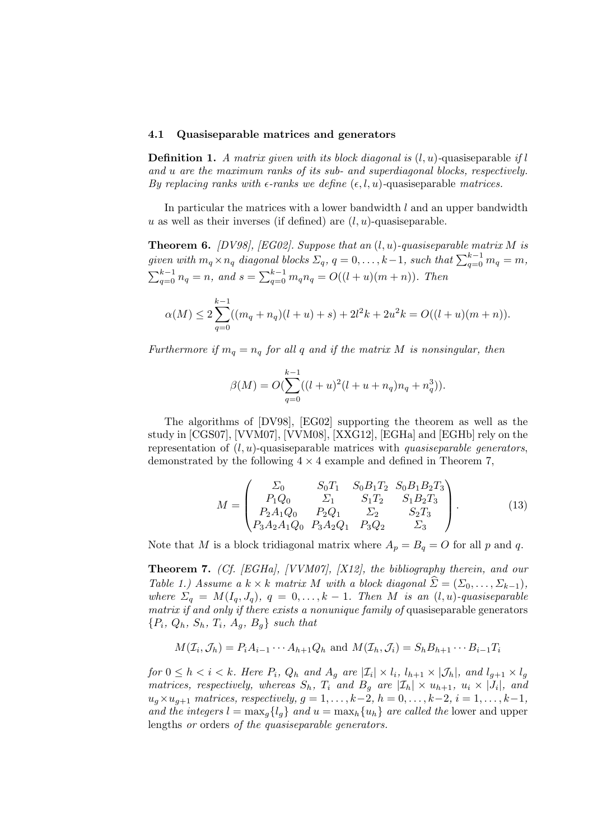#### 4.1 Quasiseparable matrices and generators

**Definition 1.** A matrix given with its block diagonal is  $(l, u)$ -quasiseparable if l and u are the maximum ranks of its sub- and superdiagonal blocks, respectively. By replacing ranks with  $\epsilon$ -ranks we define  $(\epsilon, l, u)$ -quasiseparable matrices.

In particular the matrices with a lower bandwidth  $l$  and an upper bandwidth  $u$  as well as their inverses (if defined) are  $(l, u)$ -quasiseparable.

**Theorem 6.** [DV98], [EG02]. Suppose that an  $(l, u)$ -quasiseparable matrix M is given with  $m_q \times n_q$  diagonal blocks  $\Sigma_q$ ,  $q = 0, \ldots, k-1$ , such that  $\sum_{q=0}^{k-1} m_q = m$ ,  $\sum_{q=0}^{k-1} n_q = n$ , and  $s = \sum_{q=0}^{k-1} m_q n_q = O((l+u)(m+n))$ . Then

$$
\alpha(M) \le 2\sum_{q=0}^{k-1}((m_q+n_q)(l+u)+s)+2l^2k+2u^2k=O((l+u)(m+n)).
$$

Furthermore if  $m_q = n_q$  for all q and if the matrix M is nonsingular, then

$$
\beta(M) = O(\sum_{q=0}^{k-1}((l+u)^2(l+u+n_q)n_q + n_q^3)).
$$

The algorithms of [DV98], [EG02] supporting the theorem as well as the study in [CGS07], [VVM07], [VVM08], [XXG12], [EGHa] and [EGHb] rely on the representation of  $(l, u)$ -quasiseparable matrices with *quasiseparable generators*, demonstrated by the following  $4 \times 4$  example and defined in Theorem 7,

$$
M = \begin{pmatrix} \Sigma_0 & S_0 T_1 & S_0 B_1 T_2 & S_0 B_1 B_2 T_3 \\ P_1 Q_0 & \Sigma_1 & S_1 T_2 & S_1 B_2 T_3 \\ P_2 A_1 Q_0 & P_2 Q_1 & \Sigma_2 & S_2 T_3 \\ P_3 A_2 A_1 Q_0 & P_3 A_2 Q_1 & P_3 Q_2 & \Sigma_3 \end{pmatrix}.
$$
 (13)

Note that M is a block tridiagonal matrix where  $A_p = B_q = O$  for all p and q.

Theorem 7. (Cf. [EGHa], [VVM07], [X12], the bibliography therein, and our Table 1.) Assume a  $k \times k$  matrix M with a block diagonal  $\widehat{\Sigma} = (\Sigma_0, \ldots, \Sigma_{k-1}),$ where  $\Sigma_q = M(I_q, J_q)$ ,  $q = 0, \ldots, k-1$ . Then M is an  $(l, u)$ -quasiseparable matrix if and only if there exists a nonunique family of quasiseparable generators  ${P_i, Q_h, S_h, T_i, A_g, B_g}$  such that

$$
M(\mathcal{I}_i, \mathcal{J}_h) = P_i A_{i-1} \cdots A_{h+1} Q_h
$$
 and  $M(\mathcal{I}_h, \mathcal{J}_i) = S_h B_{h+1} \cdots B_{i-1} T_i$ 

for  $0 \leq h < i < k$ . Here  $P_i$ ,  $Q_h$  and  $A_g$  are  $|\mathcal{I}_i| \times l_i$ ,  $l_{h+1} \times |\mathcal{J}_h|$ , and  $l_{g+1} \times l_g$ matrices, respectively, whereas  $S_h$ ,  $T_i$  and  $B_g$  are  $|\mathcal{I}_h| \times u_{h+1}$ ,  $u_i \times |J_i|$ , and  $u_q \times u_{q+1}$  matrices, respectively,  $q = 1, ..., k-2, h = 0, ..., k-2, i = 1, ..., k-1$ , and the integers  $l = \max_q \{l_q\}$  and  $u = \max_h \{u_h\}$  are called the lower and upper lengths or orders of the quasiseparable generators.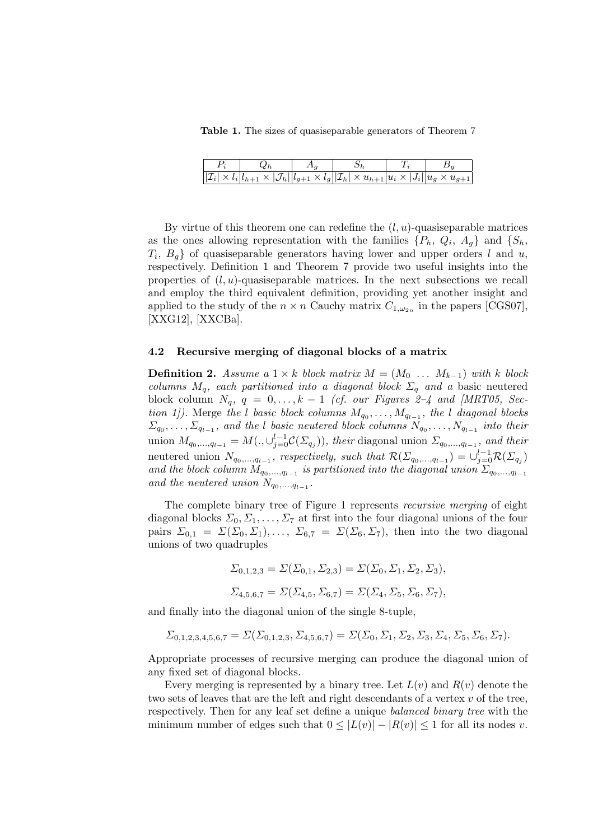Table 1. The sizes of quasiseparable generators of Theorem 7

|  | $\sqrt{ \mathcal{I}_i  \times l_i  l_{h+1} \times  \mathcal{J}_h   l_{g+1} \times l_g}  \mathcal{I}_h  \times u_{h+1}  u_i \times  J_i    u_g \times u_{g+1}$ |  |
|--|---------------------------------------------------------------------------------------------------------------------------------------------------------------|--|

By virtue of this theorem one can redefine the  $(l, u)$ -quasiseparable matrices as the ones allowing representation with the families  $\{P_h, Q_i, A_g\}$  and  $\{S_h,$  $T_i$ ,  $B_g$  of quasiseparable generators having lower and upper orders l and u, respectively. Definition 1 and Theorem 7 provide two useful insights into the properties of  $(l, u)$ -quasiseparable matrices. In the next subsections we recall and employ the third equivalent definition, providing yet another insight and applied to the study of the  $n \times n$  Cauchy matrix  $C_{1,\omega_{2n}}$  in the papers [CGS07], [XXG12], [XXCBa].

#### 4.2 Recursive merging of diagonal blocks of a matrix

**Definition 2.** Assume a  $1 \times k$  block matrix  $M = (M_0 \ldots M_{k-1})$  with k block columns  $M_q$ , each partitioned into a diagonal block  $\Sigma_q$  and a basic neutered block column  $N_q$ ,  $q = 0, \ldots, k - 1$  (cf. our Figures 2–4 and [MRT05, Section 1]). Merge the l basic block columns  $M_{q_0}, \ldots, M_{q_{l-1}}$ , the l diagonal blocks  $\Sigma_{q_0}, \ldots, \Sigma_{q_{l-1}}$ , and the l basic neutered block columns  $N_{q_0}, \ldots, N_{q_{l-1}}$  into their union  $M_{q_0,...,q_{l-1}} = M(., \cup_{j=0}^{l-1} C(\Sigma_{q_j})),$  their diagonal union  $\Sigma_{q_0,...,q_{l-1}}$ , and their neutered union  $N_{q_0,...,q_{l-1}}$ , respectively, such that  $\mathcal{R}(\Sigma_{q_0,...,q_{l-1}}) = \bigcup_{j=0}^{l-1} \mathcal{R}(\Sigma_{q_j})$ and the block column  $M_{q_0,...,q_{l-1}}$  is partitioned into the diagonal union  $\Sigma_{q_0,...,q_{l-1}}$ and the neutered union  $N_{q_0,...,q_{l-1}}$ .

The complete binary tree of Figure 1 represents recursive merging of eight diagonal blocks  $\Sigma_0, \Sigma_1, \ldots, \Sigma_7$  at first into the four diagonal unions of the four pairs  $\Sigma_{0,1} = \Sigma(\Sigma_0, \Sigma_1), \ldots, \Sigma_{6,7} = \Sigma(\Sigma_6, \Sigma_7)$ , then into the two diagonal unions of two quadruples

$$
\Sigma_{0,1,2,3} = \Sigma(\Sigma_{0,1}, \Sigma_{2,3}) = \Sigma(\Sigma_0, \Sigma_1, \Sigma_2, \Sigma_3),
$$
  

$$
\Sigma_{4,5,6,7} = \Sigma(\Sigma_{4,5}, \Sigma_{6,7}) = \Sigma(\Sigma_4, \Sigma_5, \Sigma_6, \Sigma_7),
$$

and finally into the diagonal union of the single 8-tuple,

$$
\Sigma_{0,1,2,3,4,5,6,7} = \Sigma(\Sigma_{0,1,2,3}, \Sigma_{4,5,6,7}) = \Sigma(\Sigma_0, \Sigma_1, \Sigma_2, \Sigma_3, \Sigma_4, \Sigma_5, \Sigma_6, \Sigma_7).
$$

Appropriate processes of recursive merging can produce the diagonal union of any fixed set of diagonal blocks.

Every merging is represented by a binary tree. Let  $L(v)$  and  $R(v)$  denote the two sets of leaves that are the left and right descendants of a vertex  $v$  of the tree, respectively. Then for any leaf set define a unique balanced binary tree with the minimum number of edges such that  $0 \leq |L(v)| - |R(v)| \leq 1$  for all its nodes v.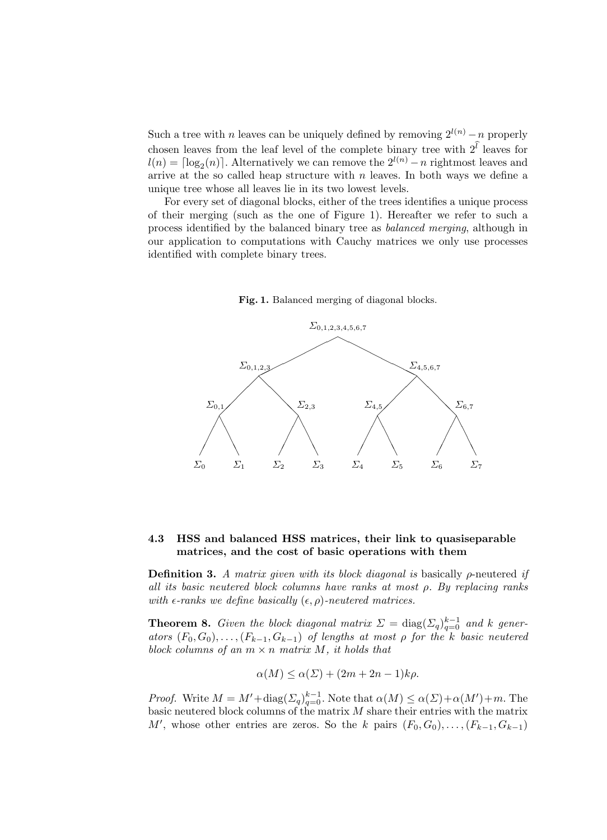Such a tree with n leaves can be uniquely defined by removing  $2^{l(n)} - n$  properly chosen leaves from the leaf level of the complete binary tree with  $2^l$  leaves for  $l(n) = \lceil \log_2(n) \rceil$ . Alternatively we can remove the  $2^{l(n)} - n$  rightmost leaves and arrive at the so called heap structure with  $n$  leaves. In both ways we define a unique tree whose all leaves lie in its two lowest levels.

For every set of diagonal blocks, either of the trees identifies a unique process of their merging (such as the one of Figure 1). Hereafter we refer to such a process identified by the balanced binary tree as balanced merging, although in our application to computations with Cauchy matrices we only use processes identified with complete binary trees.





## 4.3 HSS and balanced HSS matrices, their link to quasiseparable matrices, and the cost of basic operations with them

**Definition 3.** A matrix given with its block diagonal is basically  $\rho$ -neutered if all its basic neutered block columns have ranks at most ρ. By replacing ranks with  $\epsilon$ -ranks we define basically  $(\epsilon, \rho)$ -neutered matrices.

**Theorem 8.** Given the block diagonal matrix  $\Sigma = \text{diag}(\Sigma_q)_{q=0}^{k-1}$  and k generators  $(F_0, G_0), \ldots, (F_{k-1}, G_{k-1})$  of lengths at most  $\rho$  for the k basic neutered block columns of an  $m \times n$  matrix M, it holds that

$$
\alpha(M) \le \alpha(\Sigma) + (2m + 2n - 1)k\rho.
$$

*Proof.* Write  $M = M' + \text{diag}(\Sigma_q)_{q=0}^{k-1}$ . Note that  $\alpha(M) \leq \alpha(\Sigma) + \alpha(M') + m$ . The basic neutered block columns of the matrix  $M$  share their entries with the matrix M', whose other entries are zeros. So the k pairs  $(F_0, G_0), \ldots, (F_{k-1}, G_{k-1})$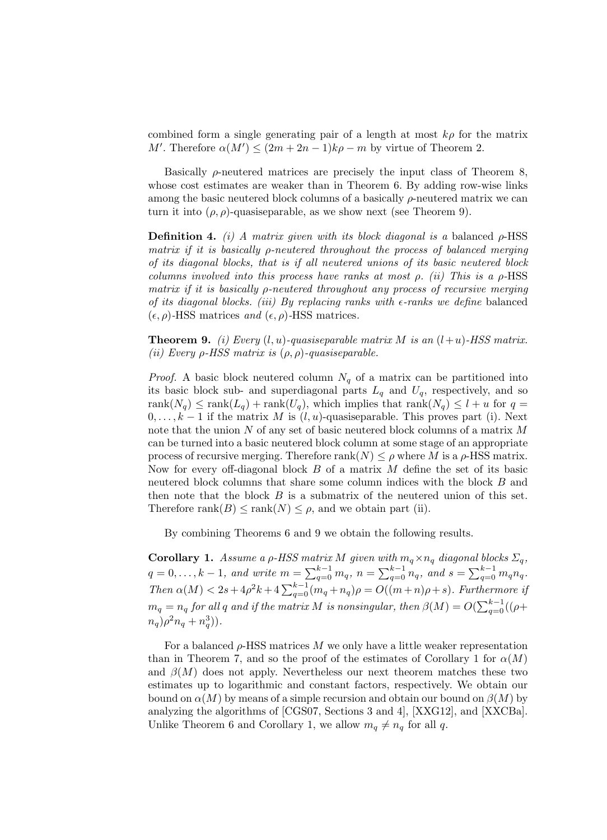combined form a single generating pair of a length at most  $k\rho$  for the matrix M'. Therefore  $\alpha(M') \leq (2m + 2n - 1)k\rho - m$  by virtue of Theorem 2.

Basically  $\rho$ -neutered matrices are precisely the input class of Theorem 8, whose cost estimates are weaker than in Theorem 6. By adding row-wise links among the basic neutered block columns of a basically  $\rho$ -neutered matrix we can turn it into  $(\rho, \rho)$ -quasiseparable, as we show next (see Theorem 9).

**Definition 4.** (i) A matrix given with its block diagonal is a balanced  $\rho$ -HSS matrix if it is basically ρ-neutered throughout the process of balanced merging of its diagonal blocks, that is if all neutered unions of its basic neutered block columns involved into this process have ranks at most  $\rho$ . (ii) This is a  $\rho$ -HSS matrix if it is basically ρ-neutered throughout any process of recursive merging of its diagonal blocks. (iii) By replacing ranks with  $\epsilon$ -ranks we define balanced  $(\epsilon, \rho)$ -HSS matrices and  $(\epsilon, \rho)$ -HSS matrices.

**Theorem 9.** (i) Every  $(l, u)$ -quasiseparable matrix M is an  $(l+u)$ -HSS matrix. (ii) Every  $\rho$ -HSS matrix is  $(\rho, \rho)$ -quasiseparable.

*Proof.* A basic block neutered column  $N_q$  of a matrix can be partitioned into its basic block sub- and superdiagonal parts  $L_q$  and  $U_q$ , respectively, and so rank $(N_q) \leq \text{rank}(L_q) + \text{rank}(U_q)$ , which implies that  $\text{rank}(N_q) \leq l + u$  for  $q =$  $0, \ldots, k-1$  if the matrix M is  $(l, u)$ -quasiseparable. This proves part (i). Next note that the union N of any set of basic neutered block columns of a matrix M can be turned into a basic neutered block column at some stage of an appropriate process of recursive merging. Therefore  $rank(N) \leq \rho$  where M is a  $\rho$ -HSS matrix. Now for every off-diagonal block  $B$  of a matrix  $M$  define the set of its basic neutered block columns that share some column indices with the block B and then note that the block  $B$  is a submatrix of the neutered union of this set. Therefore rank $(B) \leq \text{rank}(N) \leq \rho$ , and we obtain part (ii).

By combining Theorems 6 and 9 we obtain the following results.

**Corollary 1.** Assume a  $\rho$ -HSS matrix M given with  $m_q \times n_q$  diagonal blocks  $\Sigma_q$ ,  $q = 0, \ldots, k - 1$ , and write  $m = \sum_{q=0}^{k-1} m_q$ ,  $n = \sum_{q=0}^{k-1} n_q$ , and  $s = \sum_{q=0}^{k-1} m_q n_q$ . Then  $\alpha(M) < 2s + 4\rho^2 k + 4 \sum_{q=0}^{k-1} (m_q + n_q)\rho = O((m+n)\rho + s)$ . Furthermore if  $m_q=n_q$  for all  $q$  and if the matrix  $M$  is nonsingular, then  $\beta(M)=O(\sum_{q=0}^{k-1}((\rho+1)^{d_q}))$  $n_q$ ) $\rho^2 n_q + n_q^3$ )).

For a balanced  $\rho$ -HSS matrices M we only have a little weaker representation than in Theorem 7, and so the proof of the estimates of Corollary 1 for  $\alpha(M)$ and  $\beta(M)$  does not apply. Nevertheless our next theorem matches these two estimates up to logarithmic and constant factors, respectively. We obtain our bound on  $\alpha(M)$  by means of a simple recursion and obtain our bound on  $\beta(M)$  by analyzing the algorithms of [CGS07, Sections 3 and 4], [XXG12], and [XXCBa]. Unlike Theorem 6 and Corollary 1, we allow  $m_q \neq n_q$  for all q.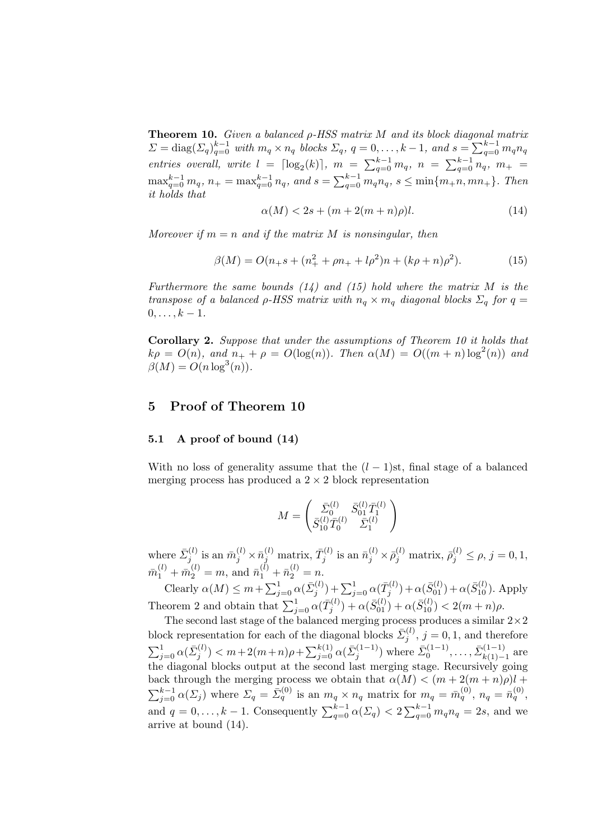**Theorem 10.** Given a balanced  $\rho$ -HSS matrix M and its block diagonal matrix  $\Sigma = \text{diag}(\Sigma_q)_{q=0}^{k-1}$  with  $m_q \times n_q$  blocks  $\Sigma_q$ ,  $q = 0, \ldots, k-1$ , and  $s = \sum_{q=0}^{k-1} m_q n_q$ entries overall, write  $l = \lceil \log_2(k) \rceil$ ,  $m = \sum_{q=0}^{k-1} m_q$ ,  $n = \sum_{q=0}^{k-1} n_q$ ,  $m_+ =$  $\max_{q=0}^{k-1} m_q$ ,  $n_+ = \max_{q=0}^{k-1} n_q$ , and  $s = \sum_{q=0}^{k-1} m_q n_q$ ,  $s \leq \min\{m_+ n, mn_+\}$ . Then it holds that

$$
\alpha(M) < 2s + (m + 2(m+n)\rho)l. \tag{14}
$$

Moreover if  $m = n$  and if the matrix M is nonsingular, then

$$
\beta(M) = O(n_+s + (n_+^2 + \rho n_+ + l\rho^2)n + (k\rho + n)\rho^2). \tag{15}
$$

Furthermore the same bounds  $(14)$  and  $(15)$  hold where the matrix M is the transpose of a balanced  $\rho$ -HSS matrix with  $n_q \times m_q$  diagonal blocks  $\Sigma_q$  for  $q =$  $0, \ldots, k - 1.$ 

Corollary 2. Suppose that under the assumptions of Theorem 10 it holds that  $k\rho = O(n)$ , and  $n_+ + \rho = O(\log(n))$ . Then  $\alpha(M) = O((m+n)\log^2(n))$  and  $\beta(M) = O(n \log^3(n)).$ 

## 5 Proof of Theorem 10

#### 5.1 A proof of bound (14)

With no loss of generality assume that the  $(l-1)$ st, final stage of a balanced merging process has produced a  $2 \times 2$  block representation

$$
M = \begin{pmatrix} \bar{\Sigma}_0^{(l)} & \bar{S}_{01}^{(l)} \bar{T}_1^{(l)} \\ \bar{S}_{10}^{(l)} \bar{T}_0^{(l)} & \bar{\Sigma}_1^{(l)} \end{pmatrix}
$$

where  $\bar{\Sigma}_j^{(l)}$  is an  $\bar{m}_j^{(l)} \times \bar{n}_j^{(l)}$  matrix,  $\bar{T}_j^{(l)}$  is an  $\bar{n}_j^{(l)} \times \bar{\rho}_j^{(l)}$  matrix,  $\bar{\rho}_j^{(l)} \leq \rho$ ,  $j = 0, 1$ ,  $\bar{m}_1^{(l)} + \bar{m}_2^{(l)} = m$ , and  $\bar{n}_1^{(l)} + \bar{n}_2^{(l)} = n$ .

Clearly  $\alpha(M) \leq m + \sum_{j=0}^{1} \alpha(\bar{\Sigma}_{j}^{(l)}) + \sum_{j=0}^{1} \alpha(\bar{T}_{j}^{(l)}) + \alpha(\bar{S}_{01}^{(l)}) + \alpha(\bar{S}_{10}^{(l)})$ . Apply Theorem 2 and obtain that  $\sum_{j=0}^{1} \alpha(\bar{T}_{j}^{(l)}) + \alpha(\bar{S}_{01}^{(l)}) + \alpha(\bar{S}_{10}^{(l)}) < 2(m+n)\rho$ .

The second last stage of the balanced merging process produces a similar  $2\times 2$ block representation for each of the diagonal blocks  $\bar{\Sigma}_j^{(l)}$ ,  $j = 0, 1$ , and therefore  $\sum_{j=0}^1 \alpha(\bar{\Sigma}_j^{(l)}) < m+2(m+n)\rho + \sum_{j=0}^{k(1)} \alpha(\bar{\Sigma}_j^{(1-1)})$  where  $\bar{\Sigma}_0^{(1-1)}, \ldots, \bar{\Sigma}_{k(1)}^{(1-1)}$  $\frac{k(1-1)}{k(1)-1}$  are the diagonal blocks output at the second last merging stage. Recursively going back through the merging process we obtain that  $\alpha(M) < (m + 2(m + n)\rho)l +$  $\sum_{j=0}^{k-1} \alpha(\Sigma_j)$  where  $\Sigma_q = \bar{\Sigma}_q^{(0)}$  is an  $m_q \times n_q$  matrix for  $m_q = \bar{m}_q^{(0)}$ ,  $n_q = \bar{n}_q^{(0)}$ , and  $q = 0, \ldots, k - 1$ . Consequently  $\sum_{q=0}^{k-1} \alpha(\Sigma_q) < 2 \sum_{q=0}^{k-1} m_q n_q = 2s$ , and we arrive at bound (14).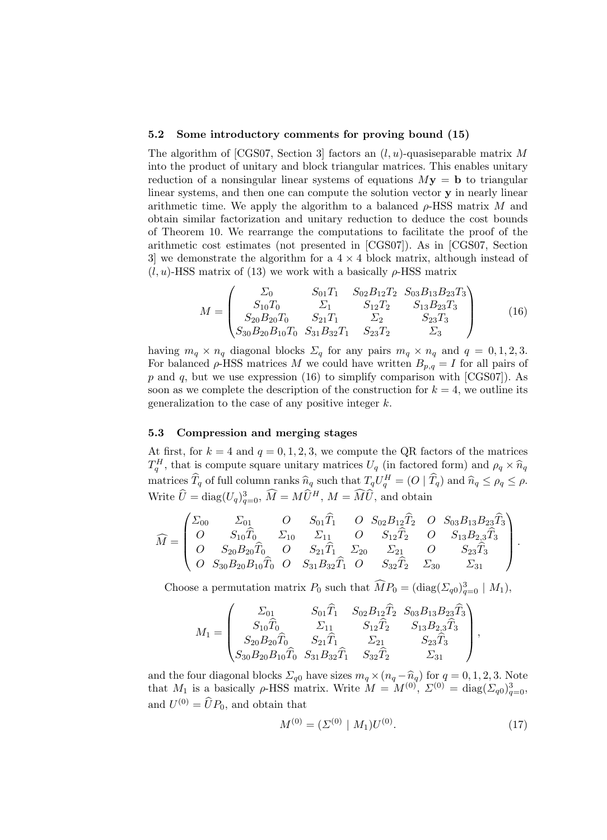#### 5.2 Some introductory comments for proving bound (15)

The algorithm of [CGS07, Section 3] factors an  $(l, u)$ -quasiseparable matrix M into the product of unitary and block triangular matrices. This enables unitary reduction of a nonsingular linear systems of equations  $My = b$  to triangular linear systems, and then one can compute the solution vector  $\bf{v}$  in nearly linear arithmetic time. We apply the algorithm to a balanced  $\rho$ -HSS matrix M and obtain similar factorization and unitary reduction to deduce the cost bounds of Theorem 10. We rearrange the computations to facilitate the proof of the arithmetic cost estimates (not presented in [CGS07]). As in [CGS07, Section 3] we demonstrate the algorithm for a  $4 \times 4$  block matrix, although instead of  $(l, u)$ -HSS matrix of (13) we work with a basically  $\rho$ -HSS matrix

$$
M = \begin{pmatrix} \Sigma_0 & S_{01}T_1 & S_{02}B_{12}T_2 & S_{03}B_{13}B_{23}T_3 \\ S_{10}T_0 & \Sigma_1 & S_{12}T_2 & S_{13}B_{23}T_3 \\ S_{20}B_{20}T_0 & S_{21}T_1 & \Sigma_2 & S_{23}T_3 \\ S_{30}B_{20}B_{10}T_0 & S_{31}B_{32}T_1 & S_{23}T_2 & \Sigma_3 \end{pmatrix}
$$
(16)

having  $m_q \times n_q$  diagonal blocks  $\Sigma_q$  for any pairs  $m_q \times n_q$  and  $q = 0, 1, 2, 3$ . For balanced  $\rho$ -HSS matrices M we could have written  $B_{p,q} = I$  for all pairs of p and q, but we use expression (16) to simplify comparison with [CGS07]). As soon as we complete the description of the construction for  $k = 4$ , we outline its generalization to the case of any positive integer k.

#### 5.3 Compression and merging stages

At first, for  $k = 4$  and  $q = 0, 1, 2, 3$ , we compute the QR factors of the matrices  $T_q^H$ , that is compute square unitary matrices  $U_q$  (in factored form) and  $\rho_q \times \hat{n}_q$ matrices  $\widehat{T}_q$  of full column ranks  $\widehat{n}_q$  such that  $T_q U_q^H = (O | \widehat{T}_q)$  and  $\widehat{n}_q \le \rho_q \le \rho$ . Write  $\hat{U} = \text{diag}(U_q)_{q=0}^3$ ,  $\hat{M} = M\hat{U}^H$ ,  $M = \hat{M}\hat{U}$ , and obtain

$$
\widehat{M} = \begin{pmatrix}\n\Sigma_{00} & \Sigma_{01} & O & S_{01}\widehat{T}_1 & O & S_{02}B_{12}\widehat{T}_2 & O & S_{03}B_{13}B_{23}\widehat{T}_3 \\
O & S_{10}\widehat{T}_0 & \Sigma_{10} & \Sigma_{11} & O & S_{12}\widehat{T}_2 & O & S_{13}B_{2,3}\widehat{T}_3 \\
O & S_{20}B_{20}\widehat{T}_0 & O & S_{21}\widehat{T}_1 & \Sigma_{20} & \Sigma_{21} & O & S_{23}\widehat{T}_3 \\
O & S_{30}B_{20}B_{10}\widehat{T}_0 & O & S_{31}B_{32}\widehat{T}_1 & O & S_{32}\widehat{T}_2 & \Sigma_{30} & \Sigma_{31}\n\end{pmatrix}.
$$

Choose a permutation matrix  $P_0$  such that  $\widehat{M}P_0 = (\text{diag}(\Sigma_{q0})_{q=0}^3 \mid M_1)$ ,

$$
M_1 = \begin{pmatrix} \Sigma_{01} & S_{01}\hat{T}_1 & S_{02}B_{12}\hat{T}_2 & S_{03}B_{13}B_{23}\hat{T}_3\\ S_{10}\hat{T}_0 & \Sigma_{11} & S_{12}\hat{T}_2 & S_{13}B_{2,3}\hat{T}_3\\ S_{20}B_{20}\hat{T}_0 & S_{21}\hat{T}_1 & \Sigma_{21} & S_{23}\hat{T}_3\\ S_{30}B_{20}B_{10}\hat{T}_0 & S_{31}B_{32}\hat{T}_1 & S_{32}\hat{T}_2 & \Sigma_{31} \end{pmatrix}
$$

and the four diagonal blocks  $\Sigma_{q0}$  have sizes  $m_q \times (n_q - \hat{n}_q)$  for  $q = 0, 1, 2, 3$ . Note that  $M_1$  is a basically  $\rho$ -HSS matrix. Write  $M = M^{(0)}$ ,  $\Sigma^{(0)} = \text{diag}(\Sigma_{q0})_{q=0}^3$ , and  $U^{(0)} = \widehat{U}P_0$ , and obtain that

$$
M^{(0)} = (\Sigma^{(0)} \mid M_1) U^{(0)}.
$$
 (17)

,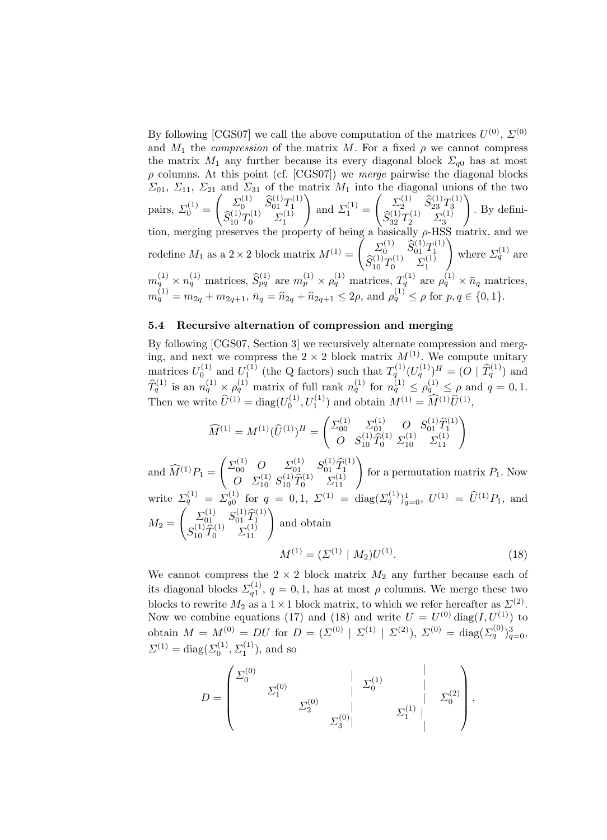By following [CGS07] we call the above computation of the matrices  $U^{(0)}$ ,  $\Sigma^{(0)}$ and  $M_1$  the *compression* of the matrix M. For a fixed  $\rho$  we cannot compress the matrix  $M_1$  any further because its every diagonal block  $\Sigma_{q0}$  has at most  $\rho$  columns. At this point (cf. [CGS07]) we *merge* pairwise the diagonal blocks  $\Sigma_{01}$ ,  $\Sigma_{11}$ ,  $\Sigma_{21}$  and  $\Sigma_{31}$  of the matrix  $M_1$  into the diagonal unions of the two pairs,  $\Sigma_0^{(1)}$  =  $\begin{pmatrix} \Sigma_0^{(1)} & \widehat{S}_{01}^{(1)}T_1^{(1)} \\ \widehat{S}_{10}^{(1)}T_0^{(1)} & \Sigma_1^{(1)} \end{pmatrix}$  $\setminus$ and  $\Sigma_1^{(1)} =$  $\begin{pmatrix} \Sigma_2^{(1)} & \widehat{S}_{23}^{(1)}T_3^{(1)} \\ \widehat{S}_{32}^{(1)}T_2^{(1)} & \Sigma_3^{(1)} \end{pmatrix}$  $\setminus$ . By definition, merging preserves the property of being a basically  $\rho$ -HSS matrix, and we redefine  $M_1$  as a  $2 \times 2$  block matrix  $M^{(1)} =$  $\begin{pmatrix} \Sigma_0^{(1)} & \widehat{S}_{01}^{(1)} T_1^{(1)} \\ \widehat{S}_{10}^{(1)} T_0^{(1)} & \Sigma_1^{(1)} \end{pmatrix}$  $\setminus$ where  $\Sigma_q^{(1)}$  are  $m_q^{(1)} \times n_q^{(1)}$  matrices,  $\widehat{S}_{pq}^{(1)}$  are  $m_p^{(1)} \times \rho_q^{(1)}$  matrices,  $T_q^{(1)}$  are  $\rho_q^{(1)} \times \bar{n}_q$  matrices,  $m_q^{(1)} = m_{2q} + m_{2q+1}, \, \bar{n}_q = \hat{n}_{2q} + \hat{n}_{2q+1} \leq 2\rho$ , and  $\rho_q^{(1)} \leq \rho$  for  $p, q \in \{0, 1\}.$ 

#### 5.4 Recursive alternation of compression and merging

By following [CGS07, Section 3] we recursively alternate compression and merging, and next we compress the  $2 \times 2$  block matrix  $M^{(1)}$ . We compute unitary matrices  $U_0^{(1)}$  and  $U_1^{(1)}$  (the Q factors) such that  $T_q^{(1)}(U_q^{(1)})^H = (O \mid \hat{T}_q^{(1)})$  and  $\hat{T}_q^{(1)}$  is an  $n_q^{(1)} \times \rho_q^{(1)}$  matrix of full rank  $n_q^{(1)}$  for  $n_q^{(1)} \leq \rho_q^{(1)} \leq \rho$  and  $q = 0, 1$ . Then we write  $\hat{U}^{(1)} = \text{diag}(U_0^{(1)}, U_1^{(1)})$  and obtain  $M^{(1)} = \hat{M}^{(1)} \hat{U}^{(1)}$ ,

$$
\widehat{M}^{(1)} = M^{(1)}(\widehat{U}^{(1)})^H = \begin{pmatrix} \Sigma_{00}^{(1)} & \Sigma_{01}^{(1)} & O & S_{01}^{(1)} \widehat{T}_1^{(1)} \\ O & S_{10}^{(1)} \widehat{T}_0^{(1)} & \Sigma_{10}^{(1)} & \Sigma_{11}^{(1)} \end{pmatrix}
$$

and  $\widehat{M}^{(1)}P_1 =$  $\begin{pmatrix} \Sigma_{00}^{(1)} & O & \Sigma_{01}^{(1)} & S_{01}^{(1)} \widehat{T}_1^{(1)} \ O & \Sigma_{10}^{(1)} & \widehat{T}_0^{(1)} & \Sigma_{11}^{(1)} \ \end{pmatrix}$ for a permutation matrix  $P_1$ . Now write  $\Sigma_q^{(1)} = \Sigma_{q_0}^{(1)}$  for  $q = 0, 1, \Sigma^{(1)} = \text{diag}(\Sigma_q^{(1)})_{q=0}^1, U^{(1)} = \hat{U}^{(1)}P_1$ , and  $M_2 =$  $\left( \begin{array}{c} \sum_{01}^{(1)} S_{01}^{(1)} \hat{T}_1^{(1)} \\ \sum_{0}^{(1)} \hat{C}_1^{(1)} \end{array} \right)$  $S_{01}^{(1)} S_{01}^{(1)} \hat{T}_1^{(1)} \ S_{10}^{(1)} \hat{T}_0^{(1)} \Sigma_{11}^{(1)}$ and obtain

$$
M^{(1)} = (\Sigma^{(1)} \mid M_2) U^{(1)}.
$$
\n(18)

We cannot compress the  $2 \times 2$  block matrix  $M_2$  any further because each of its diagonal blocks  $\Sigma_{q_1}^{(1)}$ ,  $q = 0, 1$ , has at most  $\rho$  columns. We merge these two blocks to rewrite  $M_2$  as a  $1 \times 1$  block matrix, to which we refer hereafter as  $\Sigma^{(2)}$ . Now we combine equations (17) and (18) and write  $U = U^{(0)} \text{diag}(I, U^{(1)})$  to obtain  $M = M^{(0)} = DU$  for  $D = (\Sigma^{(0)} | \Sigma^{(1)} | \Sigma^{(2)})$ ,  $\Sigma^{(0)} = \text{diag}(\Sigma_q^{(0)})_{q=0}^3$ ,  $\Sigma^{(1)} = \text{diag}(\Sigma_0^{(1)}, \Sigma_1^{(1)})$ , and so

$$
D = \begin{pmatrix} \Sigma_0^{(0)} & & \vert & \Sigma_0^{(1)} & \vert & \vert \\ & \Sigma_1^{(0)} & \vert & \Sigma_0^{(1)} & \vert & \Sigma_0^{(2)} \\ & & \Sigma_2^{(0)} & \vert & \Sigma_1^{(1)} & \vert & \vert \end{pmatrix},
$$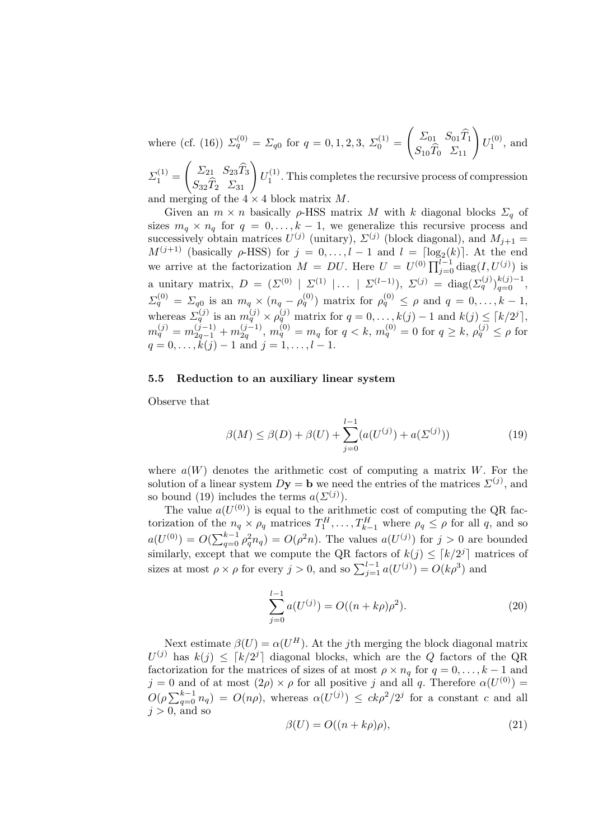where (cf. (16))  $\Sigma_q^{(0)} = \Sigma_{q0}$  for  $q = 0, 1, 2, 3, \Sigma_0^{(1)} =$  $\begin{pmatrix} \Sigma_{01} & S_{01} \hat{T}_1 \\ S_{10} \hat{T}_0 & \Sigma_{11} \end{pmatrix}$  $U_1^{(0)}$ , and  $\Sigma_1^{(1)} =$  $\begin{pmatrix} \Sigma_{21} & S_{23}\widehat{T}_3 \\ S_{32}\widehat{T}_2 & \Sigma_{31} \end{pmatrix}$  $U_1^{(1)}$ . This completes the recursive process of compression

and merging of the  $4 \times 4$  block matrix M.

Given an  $m \times n$  basically  $\rho$ -HSS matrix M with k diagonal blocks  $\Sigma_q$  of sizes  $m_q \times n_q$  for  $q = 0, \ldots, k - 1$ , we generalize this recursive process and successively obtain matrices  $U^{(j)}$  (unitary),  $\Sigma^{(j)}$  (block diagonal), and  $M_{j+1} =$  $M^{(j+1)}$  (basically  $\rho$ -HSS) for  $j = 0, \ldots, l-1$  and  $l = \lceil \log_2(k) \rceil$ . At the end we arrive at the factorization  $M = DU$ . Here  $U = U^{(0)} \prod_{j=0}^{l-1} \text{diag}(I, U^{(j)})$  is a unitary matrix,  $D = (\Sigma^{(0)} \mid \Sigma^{(1)} \mid \dots \mid \Sigma^{(l-1)}), \Sigma^{(j)} = \text{diag}(\Sigma^{(j)}_q)_{q=0}^{k(j)-1},$  $\Sigma_q^{(0)} = \Sigma_{q0}$  is an  $m_q \times (n_q - \rho_q^{(0)})$  matrix for  $\rho_q^{(0)} \le \rho$  and  $q = 0, \ldots, k-1$ , whereas  $\Sigma_q^{(j)}$  is an  $m_q^{(j)} \times \rho_q^{(j)}$  matrix for  $q = 0, \ldots, k(j) - 1$  and  $k(j) \leq \lceil k/2^j \rceil$ ,  $m_q^{(j)} = m_{2q-1}^{(j-1)} + m_{2q}^{(j-1)}, \, m_q^{(0)} = m_q$  for  $q < k, \, m_q^{(0)} = 0$  for  $q \geq k, \, \rho_q^{(j)} \leq \rho$  for  $q = 0, \ldots, k(j) - 1$  and  $j = 1, \ldots, l - 1$ .

#### 5.5 Reduction to an auxiliary linear system

Observe that

$$
\beta(M) \le \beta(D) + \beta(U) + \sum_{j=0}^{l-1} (a(U^{(j)}) + a(\Sigma^{(j)})) \tag{19}
$$

where  $a(W)$  denotes the arithmetic cost of computing a matrix W. For the solution of a linear system  $Dy = b$  we need the entries of the matrices  $\Sigma^{(j)}$ , and so bound (19) includes the terms  $a(\Sigma^{(j)})$ .

The value  $a(U^{(0)})$  is equal to the arithmetic cost of computing the QR factorization of the  $n_q \times \rho_q$  matrices  $T_1^H, \ldots, T_{k-1}^H$  where  $\rho_q \leq \rho$  for all q, and so  $a(U^{(0)}) = O(\sum_{q=0}^{k-1} \rho_q^2 n_q) = O(\rho^2 n)$ . The values  $a(U^{(j)})$  for  $j > 0$  are bounded similarly, except that we compute the QR factors of  $k(j) \leq [k/2^j]$  matrices of sizes at most  $\rho \times \rho$  for every  $j > 0$ , and so  $\sum_{j=1}^{l-1} a(U^{(j)}) = O(k\rho^3)$  and

$$
\sum_{j=0}^{l-1} a(U^{(j)}) = O((n+k\rho)\rho^2).
$$
 (20)

Next estimate  $\beta(U) = \alpha(U^H)$ . At the jth merging the block diagonal matrix  $U^{(j)}$  has  $k(j) \leq [k/2^j]$  diagonal blocks, which are the Q factors of the QR factorization for the matrices of sizes of at most  $\rho \times n_q$  for  $q = 0, \ldots, k - 1$  and  $j = 0$  and of at most  $(2\rho) \times \rho$  for all positive j and all q. Therefore  $\alpha(U^{(0)}) =$  $O(\rho \sum_{q=0}^{k-1} n_q) = O(n\rho)$ , whereas  $\alpha(U^{(j)}) \leq c k \rho^2/2^j$  for a constant c and all  $i > 0$ , and so

$$
\beta(U) = O((n + k\rho)\rho),\tag{21}
$$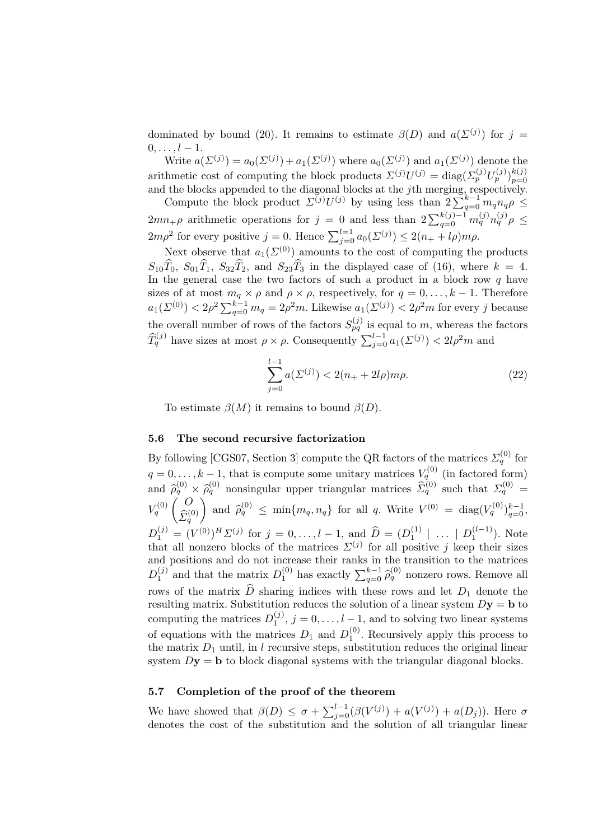dominated by bound (20). It remains to estimate  $\beta(D)$  and  $a(\Sigma^{(j)})$  for  $j =$  $0, \ldots, l-1.$ 

Write  $a(\Sigma^{(j)}) = a_0(\Sigma^{(j)}) + a_1(\Sigma^{(j)})$  where  $a_0(\Sigma^{(j)})$  and  $a_1(\Sigma^{(j)})$  denote the arithmetic cost of computing the block products  $\Sigma^{(j)}U^{(j)} = \text{diag}(\Sigma_p^{(j)}U_p^{(j)})_{p=0}^{k(j)}$ and the blocks appended to the diagonal blocks at the jth merging, respectively. Compute the block product  $\sum^{(j)} U^{(j)}$  by using less than  $2\sum_{q=0}^{k-1} m_q n_q \rho \leq$ 

 $2mn_+\rho$  arithmetic operations for  $j = 0$  and less than  $2\sum_{q=0}^{k(j)-1} m_q^{(j)}n_q^{(j)}\rho \leq$  $2m\rho^2$  for every positive  $j = 0$ . Hence  $\sum_{j=0}^{l=1} a_0(\Sigma^{(j)}) \leq 2(n_+ + l\rho)m\rho$ .

Next observe that  $a_1(\Sigma^{(0)})$  amounts to the cost of computing the products  $S_{10}\hat{T}_0$ ,  $S_{01}\hat{T}_1$ ,  $S_{32}\hat{T}_2$ , and  $S_{23}\hat{T}_3$  in the displayed case of (16), where  $k = 4$ . In the general case the two factors of such a product in a block row  $q$  have sizes of at most  $m_q \times \rho$  and  $\rho \times \rho$ , respectively, for  $q = 0, \ldots, k - 1$ . Therefore  $a_1(\Sigma^{(0)}) < 2\rho^2 \sum_{q=0}^{k-1} m_q = 2\rho^2 m$ . Likewise  $a_1(\Sigma^{(j)}) < 2\rho^2 m$  for every j because the overall number of rows of the factors  $S_{pq}^{(j)}$  is equal to m, whereas the factors  $\widehat{T}_q^{(j)}$  have sizes at most  $\rho \times \rho$ . Consequently  $\sum_{j=0}^{l-1} a_1(\Sigma^{(j)}) < 2l\rho^2 m$  and

$$
\sum_{j=0}^{l-1} a(\Sigma^{(j)}) < 2(n_+ + 2l\rho)m\rho. \tag{22}
$$

To estimate  $\beta(M)$  it remains to bound  $\beta(D)$ .

#### 5.6 The second recursive factorization

By following [CGS07, Section 3] compute the QR factors of the matrices  $\Sigma_q^{(0)}$  for  $q = 0, \ldots, k - 1$ , that is compute some unitary matrices  $V_q^{(0)}$  (in factored form) and  $\hat{\rho}_q^{(0)} \times \hat{\rho}_q^{(0)}$  nonsingular upper triangular matrices  $\hat{\Sigma}_q^{(0)}$  such that  $\Sigma_q^{(0)} =$  $V_q^{(0)}\left(\begin{array}{c} O \\ \widehat{\mathbf{r}}_q\end{array}\right)$  $\widehat{\Sigma}_q^{(0)}$ and  $\hat{\rho}_q^{(0)} \le \min\{m_q, n_q\}$  for all q. Write  $V^{(0)} = \text{diag}(V_q^{(0)})_{q=0}^{k-1}$ ,  $D_1^{(j)} = (V^{(0)})^H \Sigma^{(j)}$  for  $j = 0, ..., l - 1$ , and  $\widehat{D} = (D_1^{(1)} | ... | D_1^{(l-1)})$ . Note that all nonzero blocks of the matrices  $\Sigma^{(j)}$  for all positive j keep their sizes and positions and do not increase their ranks in the transition to the matrices  $D_1^{(j)}$  and that the matrix  $D_1^{(0)}$  has exactly  $\sum_{q=0}^{k-1} \hat{\rho}_q^{(0)}$  nonzero rows. Remove all rows of the matrix  $\ddot{D}$  sharing indices with these rows and let  $D_1$  denote the resulting matrix. Substitution reduces the solution of a linear system  $Dy = b$  to computing the matrices  $D_1^{(j)}$ ,  $j = 0, \ldots, l-1$ , and to solving two linear systems of equations with the matrices  $D_1$  and  $D_1^{(0)}$ . Recursively apply this process to the matrix  $D_1$  until, in l recursive steps, substitution reduces the original linear system  $Dy = b$  to block diagonal systems with the triangular diagonal blocks.

## 5.7 Completion of the proof of the theorem

We have showed that  $\beta(D) \leq \sigma + \sum_{j=0}^{l-1} (\beta(V^{(j)}) + a(V^{(j)}) + a(D_j)).$  Here  $\sigma$ denotes the cost of the substitution and the solution of all triangular linear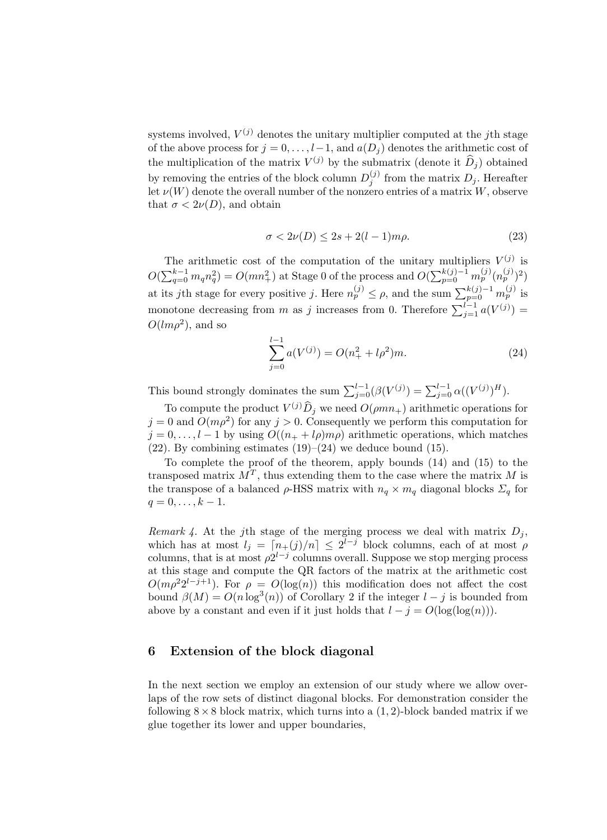systems involved,  $V^{(j)}$  denotes the unitary multiplier computed at the *j*th stage of the above process for  $j = 0, \ldots, l-1$ , and  $a(D_i)$  denotes the arithmetic cost of the multiplication of the matrix  $V^{(j)}$  by the submatrix (denote it  $\widehat{D}_j$ ) obtained by removing the entries of the block column  $D_j^{(j)}$  from the matrix  $D_j$ . Hereafter let  $\nu(W)$  denote the overall number of the nonzero entries of a matrix W, observe that  $\sigma < 2\nu(D)$ , and obtain

$$
\sigma < 2\nu(D) \le 2s + 2(l-1)m\rho. \tag{23}
$$

The arithmetic cost of the computation of the unitary multipliers  $V^{(j)}$  is  $O(\sum_{q=0}^{k-1} m_q n_q^2) = O(m n_+^2)$  at Stage 0 of the process and  $O(\sum_{p=0}^{k(j)-1} m_p^{(j)} (n_p^{(j)})^2)$ at its jth stage for every positive j. Here  $n_p^{(j)} \leq \rho$ , and the sum  $\sum_{p=0}^{k(j)-1} m_p^{(j)}$  is monotone decreasing from m as j increases from 0. Therefore  $\sum_{j=1}^{l-1} a(V^{(j)}) =$  $O(lm\rho^2)$ , and so

$$
\sum_{j=0}^{l-1} a(V^{(j)}) = O(n_+^2 + l\rho^2)m.
$$
 (24)

This bound strongly dominates the sum  $\sum_{j=0}^{l-1}(\beta(V^{(j)}) = \sum_{j=0}^{l-1} \alpha((V^{(j)})^H)$ .

To compute the product  $V^{(j)}\hat{D}_j$  we need  $O(\rho mn_+)$  arithmetic operations for  $j = 0$  and  $O(m\rho^2)$  for any  $j > 0$ . Consequently we perform this computation for  $j = 0, \ldots, l - 1$  by using  $O((n_+ + l\rho)m\rho)$  arithmetic operations, which matches  $(22)$ . By combining estimates  $(19)$ – $(24)$  we deduce bound  $(15)$ .

To complete the proof of the theorem, apply bounds (14) and (15) to the transposed matrix  $M^T$ , thus extending them to the case where the matrix M is the transpose of a balanced  $\rho$ -HSS matrix with  $n_q \times m_q$  diagonal blocks  $\Sigma_q$  for  $q = 0, \ldots, k - 1.$ 

Remark 4. At the j<sup>th</sup> stage of the merging process we deal with matrix  $D_j$ , which has at most  $l_j = \lceil n_{+}(j)/n \rceil \leq 2^{l-j}$  block columns, each of at most  $\rho$ columns, that is at most  $\rho 2^{l-j}$  columns overall. Suppose we stop merging process at this stage and compute the QR factors of the matrix at the arithmetic cost  $O(m\rho^2 2^{l-j+1})$ . For  $\rho = O(\log(n))$  this modification does not affect the cost bound  $\beta(M) = O(n \log^3(n))$  of Corollary 2 if the integer  $l - j$  is bounded from above by a constant and even if it just holds that  $l - j = O(\log(\log(n)))$ .

## 6 Extension of the block diagonal

In the next section we employ an extension of our study where we allow overlaps of the row sets of distinct diagonal blocks. For demonstration consider the following  $8 \times 8$  block matrix, which turns into a  $(1, 2)$ -block banded matrix if we glue together its lower and upper boundaries,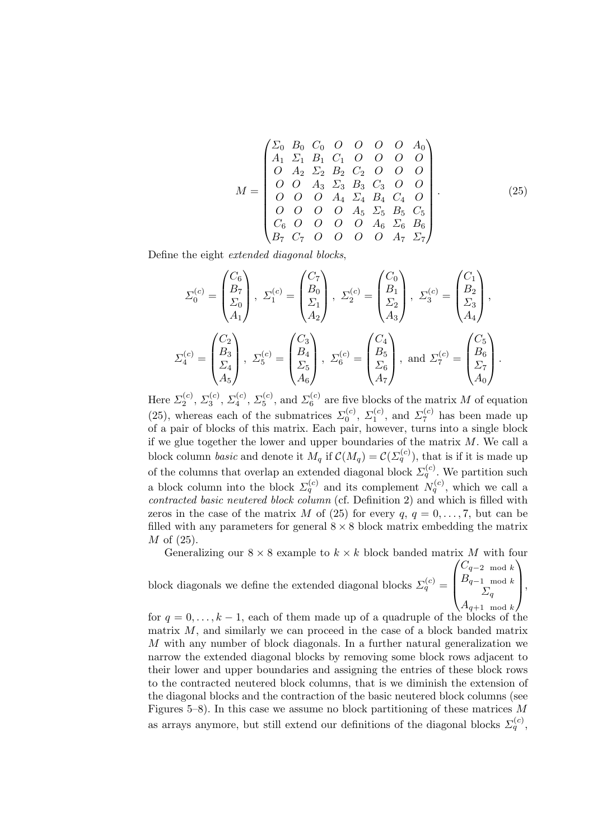$$
M = \begin{pmatrix} \Sigma_0 & B_0 & C_0 & O & O & O & O & A_0 \\ A_1 & \Sigma_1 & B_1 & C_1 & O & O & O & O \\ O & A_2 & \Sigma_2 & B_2 & C_2 & O & O & O \\ O & O & A_3 & \Sigma_3 & B_3 & C_3 & O & O \\ O & O & O & A_4 & \Sigma_4 & B_4 & C_4 & O \\ O & O & O & O & A_5 & \Sigma_5 & B_5 & C_5 \\ C_6 & O & O & O & O & A_6 & \Sigma_6 & B_6 \\ B_7 & C_7 & O & O & O & O & A_7 & \Sigma_7 \end{pmatrix}.
$$
 (25)

Define the eight extended diagonal blocks,

$$
\Sigma_0^{(c)} = \begin{pmatrix} C_6 \\ B_7 \\ \Sigma_0 \\ A_1 \end{pmatrix}, \ \Sigma_1^{(c)} = \begin{pmatrix} C_7 \\ B_0 \\ \Sigma_1 \\ A_2 \end{pmatrix}, \ \Sigma_2^{(c)} = \begin{pmatrix} C_0 \\ B_1 \\ \Sigma_2 \\ A_3 \end{pmatrix}, \ \Sigma_3^{(c)} = \begin{pmatrix} C_1 \\ B_2 \\ \Sigma_3 \\ A_4 \end{pmatrix},
$$

$$
\Sigma_4^{(c)} = \begin{pmatrix} C_2 \\ B_3 \\ \Sigma_4 \\ A_5 \end{pmatrix}, \ \Sigma_5^{(c)} = \begin{pmatrix} C_3 \\ B_4 \\ \Sigma_5 \\ A_6 \end{pmatrix}, \ \Sigma_6^{(c)} = \begin{pmatrix} C_4 \\ B_5 \\ \Sigma_6 \\ A_7 \end{pmatrix}, \text{ and } \Sigma_7^{(c)} = \begin{pmatrix} C_5 \\ B_6 \\ \Sigma_7 \\ A_0 \end{pmatrix}.
$$

Here  $\Sigma_2^{(c)}$ ,  $\Sigma_3^{(c)}$ ,  $\Sigma_4^{(c)}$ ,  $\Sigma_5^{(c)}$ , and  $\Sigma_6^{(c)}$  are five blocks of the matrix M of equation (25), whereas each of the submatrices  $\Sigma_0^{(c)}$ ,  $\Sigma_1^{(c)}$ , and  $\Sigma_7^{(c)}$  has been made up of a pair of blocks of this matrix. Each pair, however, turns into a single block if we glue together the lower and upper boundaries of the matrix  $M$ . We call a block column *basic* and denote it  $M_q$  if  $\mathcal{C}(M_q) = \mathcal{C}(\Sigma_q^{(c)})$ , that is if it is made up of the columns that overlap an extended diagonal block  $\Sigma_q^{(c)}$ . We partition such a block column into the block  $\Sigma_q^{(c)}$  and its complement  $N_q^{(c)}$ , which we call a contracted basic neutered block column (cf. Definition 2) and which is filled with zeros in the case of the matrix M of (25) for every  $q, q = 0, \ldots, 7$ , but can be filled with any parameters for general  $8 \times 8$  block matrix embedding the matrix M of (25).

Generalizing our  $8 \times 8$  example to  $k \times k$  block banded matrix M with four

block diagonals we define the extended diagonal blocks  $\Sigma_q^{(c)}$  =  $\sqrt{ }$  $\overline{\mathcal{L}}$  $C_{q-2 \mod k}$  $B_{q-1 \mod k}$  $\Sigma_q$  $A_{q+1 \mod k}$  $\setminus$  $\left| \cdot \right|$ 

for  $q = 0, \ldots, k - 1$ , each of them made up of a quadruple of the blocks of the matrix  $M$ , and similarly we can proceed in the case of a block banded matrix M with any number of block diagonals. In a further natural generalization we narrow the extended diagonal blocks by removing some block rows adjacent to their lower and upper boundaries and assigning the entries of these block rows to the contracted neutered block columns, that is we diminish the extension of the diagonal blocks and the contraction of the basic neutered block columns (see Figures 5–8). In this case we assume no block partitioning of these matrices  $M$ as arrays anymore, but still extend our definitions of the diagonal blocks  $\Sigma_q^{(c)}$ ,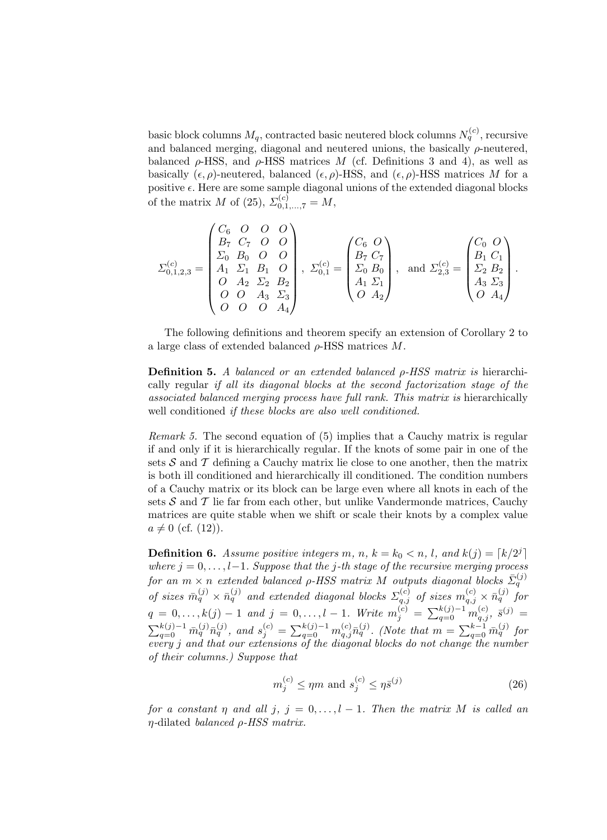basic block columns  $M_q$ , contracted basic neutered block columns  $N_q^{(c)}$ , recursive and balanced merging, diagonal and neutered unions, the basically  $\rho$ -neutered, balanced  $\rho$ -HSS, and  $\rho$ -HSS matrices M (cf. Definitions 3 and 4), as well as basically  $(\epsilon, \rho)$ -neutered, balanced  $(\epsilon, \rho)$ -HSS, and  $(\epsilon, \rho)$ -HSS matrices M for a positive  $\epsilon$ . Here are some sample diagonal unions of the extended diagonal blocks of the matrix M of (25),  $\Sigma_{0,1,...,7}^{(c)} = M$ ,

$$
\Sigma_{0,1,2,3}^{(c)} = \begin{pmatrix} C_6 & O & O & O \\ B_7 & C_7 & O & O \\ \Sigma_0 & B_0 & O & O \\ A_1 & \Sigma_1 & B_1 & O \\ O & A_2 & \Sigma_2 & B_2 \\ O & O & A_3 & \Sigma_3 \\ O & O & O & A_4 \end{pmatrix}, \ \Sigma_{0,1}^{(c)} = \begin{pmatrix} C_6 & O \\ B_7 & C_7 \\ \Sigma_0 & B_0 \\ A_1 & \Sigma_1 \\ A_1 & \Sigma_1 \\ O & A_2 \end{pmatrix}, \text{ and } \Sigma_{2,3}^{(c)} = \begin{pmatrix} C_0 & O \\ B_1 & C_1 \\ \Sigma_2 & B_2 \\ A_3 & \Sigma_3 \\ O & A_4 \end{pmatrix}.
$$

The following definitions and theorem specify an extension of Corollary 2 to a large class of extended balanced  $\rho$ -HSS matrices M.

**Definition 5.** A balanced or an extended balanced  $\rho$ -HSS matrix is hierarchically regular if all its diagonal blocks at the second factorization stage of the associated balanced merging process have full rank. This matrix is hierarchically well conditioned *if these blocks* are also well conditioned.

Remark 5. The second equation of (5) implies that a Cauchy matrix is regular if and only if it is hierarchically regular. If the knots of some pair in one of the sets  $S$  and  $T$  defining a Cauchy matrix lie close to one another, then the matrix is both ill conditioned and hierarchically ill conditioned. The condition numbers of a Cauchy matrix or its block can be large even where all knots in each of the sets  $S$  and  $T$  lie far from each other, but unlike Vandermonde matrices, Cauchy matrices are quite stable when we shift or scale their knots by a complex value  $a \neq 0$  (cf. (12)).

**Definition 6.** Assume positive integers m, n,  $k = k_0 < n$ , l, and  $k(j) = \lceil k/2^j \rceil$ where  $j = 0, \ldots, l-1$ . Suppose that the j-th stage of the recursive merging process for an  $m \times n$  extended balanced  $\rho$ -HSS matrix M outputs diagonal blocks  $\bar{\Sigma}_q^{(j)}$ of sizes  $\bar{m}_q^{(j)} \times \bar{n}_q^{(j)}$  and extended diagonal blocks  $\Sigma_{q,j}^{(c)}$  of sizes  $m_{q,j}^{(c)} \times \bar{n}_q^{(j)}$  for  $q = 0, \ldots, k(j) - 1$  and  $j = 0, \ldots, l - 1$ . Write  $m_j^{(c)} = \sum_{q=0}^{k(j)-1} m_{q,j}^{(c)}$ ,  $\bar{s}^{(j)} =$  $\sum_{q=0}^{k(j)-1} \bar{m}_q^{(j)} \bar{n}_q^{(j)}$ , and  $s_j^{(c)} = \sum_{q=0}^{k(j)-1} m_{q,j}^{(c)} \bar{n}_q^{(j)}$ . (Note that  $m = \sum_{q=0}^{k-1} \bar{m}_q^{(j)}$  for every j and that our extensions of the diagonal blocks do not change the number of their columns.) Suppose that

$$
m_j^{(c)} \le \eta m \text{ and } s_j^{(c)} \le \eta \bar{s}^{(j)} \tag{26}
$$

for a constant  $\eta$  and all  $j, j = 0, \ldots, l-1$ . Then the matrix M is called an  $\eta$ -dilated balanced  $\rho$ -HSS matrix.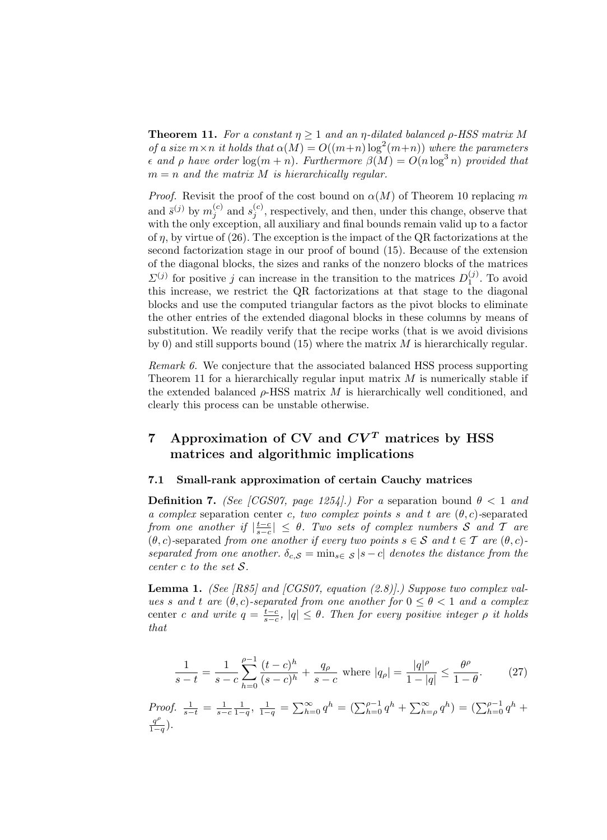**Theorem 11.** For a constant  $\eta \geq 1$  and an  $\eta$ -dilated balanced  $\rho$ -HSS matrix M of a size  $m \times n$  it holds that  $\alpha(M) = O((m+n) \log^2(m+n))$  where the parameters  $\epsilon$  and  $\rho$  have order  $\log(m + n)$ . Furthermore  $\beta(M) = O(n \log^3 n)$  provided that  $m = n$  and the matrix M is hierarchically regular.

*Proof.* Revisit the proof of the cost bound on  $\alpha(M)$  of Theorem 10 replacing m and  $\bar{s}^{(j)}$  by  $m_j^{(c)}$  and  $s_j^{(c)}$ , respectively, and then, under this change, observe that with the only exception, all auxiliary and final bounds remain valid up to a factor of  $\eta$ , by virtue of (26). The exception is the impact of the QR factorizations at the second factorization stage in our proof of bound (15). Because of the extension of the diagonal blocks, the sizes and ranks of the nonzero blocks of the matrices  $\Sigma^{(j)}$  for positive j can increase in the transition to the matrices  $D_1^{(j)}$ . To avoid this increase, we restrict the QR factorizations at that stage to the diagonal blocks and use the computed triangular factors as the pivot blocks to eliminate the other entries of the extended diagonal blocks in these columns by means of substitution. We readily verify that the recipe works (that is we avoid divisions by 0) and still supports bound  $(15)$  where the matrix M is hierarchically regular.

Remark 6. We conjecture that the associated balanced HSS process supporting Theorem 11 for a hierarchically regular input matrix  $M$  is numerically stable if the extended balanced  $\rho$ -HSS matrix M is hierarchically well conditioned, and clearly this process can be unstable otherwise.

## 7 Approximation of CV and  $CV<sup>T</sup>$  matrices by HSS matrices and algorithmic implications

### 7.1 Small-rank approximation of certain Cauchy matrices

**Definition 7.** (See [CGS07, page 1254].) For a separation bound  $\theta < 1$  and a complex separation center c, two complex points s and t are  $(\theta, c)$ -separated from one another if  $|\frac{t-c}{s-c}| \leq \theta$ . Two sets of complex numbers S and T are  $(\theta, c)$ -separated from one another if every two points  $s \in \mathcal{S}$  and  $t \in \mathcal{T}$  are  $(\theta, c)$ separated from one another.  $\delta_{c,S} = \min_{s \in S} |s - c|$  denotes the distance from the center c to the set S.

**Lemma 1.** (See [R85] and [CGS07, equation  $(2.8)$ ].) Suppose two complex values s and t are  $(\theta, c)$ -separated from one another for  $0 \le \theta < 1$  and a complex center c and write  $q = \frac{t-c}{s-c}$ ,  $|q| \leq \theta$ . Then for every positive integer  $\rho$  it holds that

$$
\frac{1}{s-t} = \frac{1}{s-c} \sum_{h=0}^{\rho-1} \frac{(t-c)^h}{(s-c)^h} + \frac{q_\rho}{s-c} \text{ where } |q_\rho| = \frac{|q|^\rho}{1-|q|} \le \frac{\theta^\rho}{1-\theta}. \tag{27}
$$

*Proof.* 
$$
\frac{1}{s-t} = \frac{1}{s-c} \frac{1}{1-q}, \ \frac{1}{1-q} = \sum_{h=0}^{\infty} q^h = (\sum_{h=0}^{\rho-1} q^h + \sum_{h=\rho}^{\infty} q^h) = (\sum_{h=0}^{\rho-1} q^h + \frac{q^{\rho}}{1-q}).
$$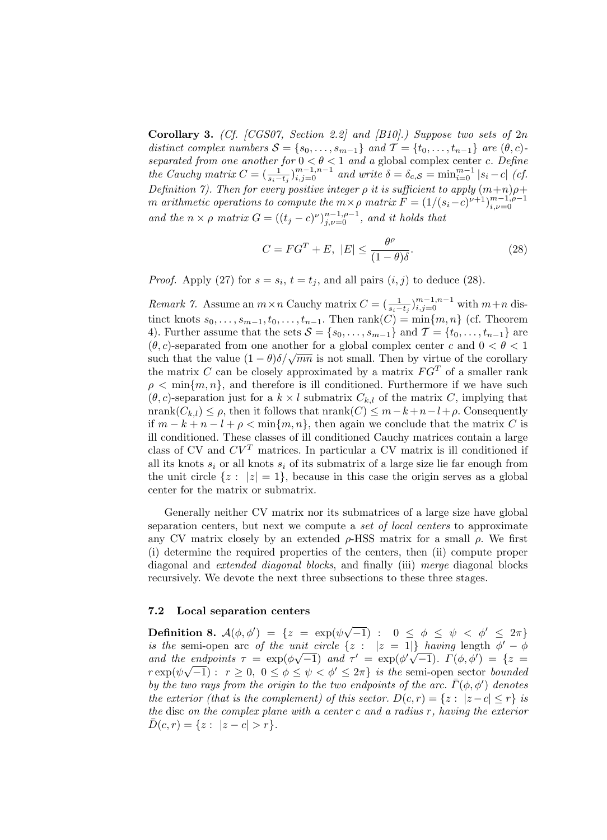**Corollary 3.** (Cf. [CGS07, Section 2.2] and [B10].) Suppose two sets of  $2n$ distinct complex numbers  $S = \{s_0, \ldots, s_{m-1}\}\$  and  $\mathcal{T} = \{t_0, \ldots, t_{n-1}\}\$  are  $(\theta, c)$ separated from one another for  $0 < \theta < 1$  and a global complex center c. Define the Cauchy matrix  $C = \left(\frac{1}{s_i - t_j}\right)_{i,j=0}^{m-1,n-1}$  and write  $\delta = \delta_{c,S} = \min_{i=0}^{m-1} |s_i - c|$  (cf. Definition 7). Then for every positive integer  $\rho$  it is sufficient to apply  $(m+n)\rho +$ m arithmetic operations to compute the  $m \times \rho$  matrix  $F = (1/(s_i-c)^{\nu+1})_{i,\nu=0}^{m-1,\rho-1}$ and the  $n \times \rho$  matrix  $G = ((t_j - c)^{\nu})_{j,\nu=0}^{n-1,\rho-1}$ , and it holds that

$$
C = FG^{T} + E, \ |E| \le \frac{\theta^{\rho}}{(1 - \theta)\delta}.
$$
 (28)

*Proof.* Apply (27) for  $s = s_i$ ,  $t = t_j$ , and all pairs  $(i, j)$  to deduce (28).

*Remark 7.* Assume an  $m \times n$  Cauchy matrix  $C = (\frac{1}{s_i - t_j})_{i,j=0}^{m-1,n-1}$  with  $m+n$  distinct knots  $s_0, \ldots, s_{m-1}, t_0, \ldots, t_{n-1}$ . Then rank $(C) = \min\{m, n\}$  (cf. Theorem 4). Further assume that the sets  $S = \{s_0, \ldots, s_{m-1}\}\$  and  $\mathcal{T} = \{t_0, \ldots, t_{n-1}\}\$  are  $(\theta, c)$ -separated from one another for a global complex center c and  $0 < \theta < 1$ (*v*, *c*)-separated from one another for a global complex center *c* and  $0 < v < 1$ <br>such that the value  $(1 - \theta)\delta/\sqrt{mn}$  is not small. Then by virtue of the corollary the matrix  $C$  can be closely approximated by a matrix  $FG<sup>T</sup>$  of a smaller rank  $\rho < \min\{m, n\}$ , and therefore is ill conditioned. Furthermore if we have such  $(\theta, c)$ -separation just for a  $k \times l$  submatrix  $C_{k,l}$  of the matrix C, implying that  $nrank(C_{k,l}) \leq \rho$ , then it follows that  $nrank(C) \leq m-k+n-l+\rho$ . Consequently if  $m - k + n - l + \rho < \min\{m, n\}$ , then again we conclude that the matrix C is ill conditioned. These classes of ill conditioned Cauchy matrices contain a large class of CV and  $CV<sup>T</sup>$  matrices. In particular a CV matrix is ill conditioned if all its knots  $s_i$  or all knots  $s_i$  of its submatrix of a large size lie far enough from the unit circle  $\{z : |z| = 1\}$ , because in this case the origin serves as a global center for the matrix or submatrix.

Generally neither CV matrix nor its submatrices of a large size have global separation centers, but next we compute a set of local centers to approximate any CV matrix closely by an extended  $\rho$ -HSS matrix for a small  $\rho$ . We first (i) determine the required properties of the centers, then (ii) compute proper diagonal and extended diagonal blocks, and finally (iii) merge diagonal blocks recursively. We devote the next three subsections to these three stages.

#### 7.2 Local separation centers

**Definition 8.**  $\mathcal{A}(\phi, \phi') = \{z = \exp(\psi \sqrt{-1}) : 0 \leq \phi \leq \psi \leq \phi' \leq 2\pi\}$ is the semi-open arc of the unit circle  $\{z : |z = 1|\}$  having length  $\phi' - \phi$ and the endpoints  $\tau = \exp(\phi \sqrt{-1})$  and  $\tau' = \exp(\phi' \sqrt{-1})$ .  $\Gamma(\phi, \phi') = \{z =$  $r \exp(\psi \sqrt{-1}) : r \ge 0, 0 \le \phi \le \psi < \phi' \le 2\pi$  is the semi-open sector bounded by the two rays from the origin to the two endpoints of the arc.  $\bar{\Gamma}(\phi, \phi')$  denotes the exterior (that is the complement) of this sector.  $D(c, r) = \{z : |z - c| \le r\}$  is the disc on the complex plane with a center c and a radius r, having the exterior  $\bar{D}(c, r) = \{z : |z - c| > r\}.$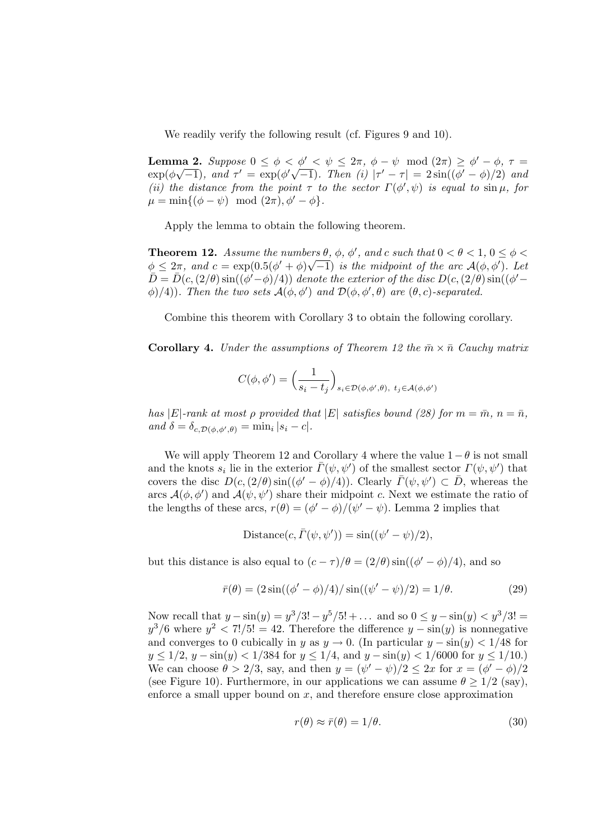We readily verify the following result (cf. Figures 9 and 10).

Lemma 2. Suppose  $0 \leq \phi \leq \phi' \leq \psi \leq 2\pi$ ,  $\phi - \psi \mod (2\pi) \geq \phi' - \phi$ ,  $\tau =$  $\exp(\phi\sqrt{-1})$ , and  $\tau' = \exp(\phi'\sqrt{-1})$ . Then (i)  $|\tau' - \tau| = 2\sin((\phi' - \phi)/2)$  and (ii) the distance from the point  $\tau$  to the sector  $\Gamma(\phi', \psi)$  is equal to  $\sin \mu$ , for  $\mu = \min\{(\phi - \psi) \mod (2\pi), \phi' - \phi\}.$ 

Apply the lemma to obtain the following theorem.

**Theorem 12.** Assume the numbers  $\theta$ ,  $\phi$ ,  $\phi'$ , and c such that  $0 < \theta < 1$ ,  $0 \leq \phi < \theta$  $\phi \leq 2\pi$ , and  $c = \exp(0.5(\phi' + \phi)\sqrt{-1})$  is the midpoint of the arc  $\mathcal{A}(\phi, \phi')$ . Let  $\overline{D} = \overline{D}(c,(2/\theta)\sin((\phi'-\phi)/4))$  denote the exterior of the disc  $D(c,(2/\theta)\sin((\phi'-\phi)/4))$  $\phi$ )/4)). Then the two sets  $\mathcal{A}(\phi, \phi')$  and  $\mathcal{D}(\phi, \phi', \theta)$  are  $(\theta, c)$ -separated.

Combine this theorem with Corollary 3 to obtain the following corollary.

**Corollary 4.** Under the assumptions of Theorem 12 the  $\bar{m} \times \bar{n}$  Cauchy matrix

$$
C(\phi,\phi')=\Big(\frac{1}{s_i-t_j}\Big)_{s_i\in\mathcal{D}(\phi,\phi',\theta),\ t_j\in\mathcal{A}(\phi,\phi')}
$$

has |E|-rank at most  $\rho$  provided that |E| satisfies bound (28) for  $m = \overline{m}$ ,  $n = \overline{n}$ , and  $\delta = \delta_{c,D(\phi,\phi',\theta)} = \min_i |s_i - c|.$ 

We will apply Theorem 12 and Corollary 4 where the value  $1-\theta$  is not small and the knots  $s_i$  lie in the exterior  $\bar{\Gamma}(\psi, \psi')$  of the smallest sector  $\Gamma(\psi, \psi')$  that covers the disc  $D(c, (2/\theta) \sin((\phi' - \phi)/4))$ . Clearly  $\bar{\Gamma}(\psi, \psi') \subset \bar{D}$ , whereas the arcs  $\mathcal{A}(\phi, \phi')$  and  $\mathcal{A}(\psi, \psi')$  share their midpoint c. Next we estimate the ratio of the lengths of these arcs,  $r(\theta) = (\phi' - \phi)/(\psi' - \psi)$ . Lemma 2 implies that

$$
Distance(c, \overline{\Gamma}(\psi, \psi')) = \sin((\psi' - \psi)/2),
$$

but this distance is also equal to  $(c - \tau)/\theta = (2/\theta) \sin((\phi' - \phi)/4)$ , and so

$$
\bar{r}(\theta) = (2\sin((\phi' - \phi)/4)/\sin((\psi' - \psi)/2) = 1/\theta. \tag{29}
$$

Now recall that  $y - \sin(y) = y^3/3! - y^5/5! + ...$  and so  $0 \le y - \sin(y) < y^3/3! =$  $y^3/6$  where  $y^2 < 7!/5! = 42$ . Therefore the difference  $y - \sin(y)$  is nonnegative and converges to 0 cubically in y as  $y \to 0$ . (In particular  $y - \sin(y) < 1/48$  for  $y \le 1/2$ ,  $y - \sin(y) < 1/384$  for  $y \le 1/4$ , and  $y - \sin(y) < 1/6000$  for  $y \le 1/10$ . We can choose  $\theta > 2/3$ , say, and then  $y = (\psi' - \psi)/2 \le 2x$  for  $x = (\phi' - \phi)/2$ (see Figure 10). Furthermore, in our applications we can assume  $\theta \geq 1/2$  (say), enforce a small upper bound on  $x$ , and therefore ensure close approximation

$$
r(\theta) \approx \bar{r}(\theta) = 1/\theta. \tag{30}
$$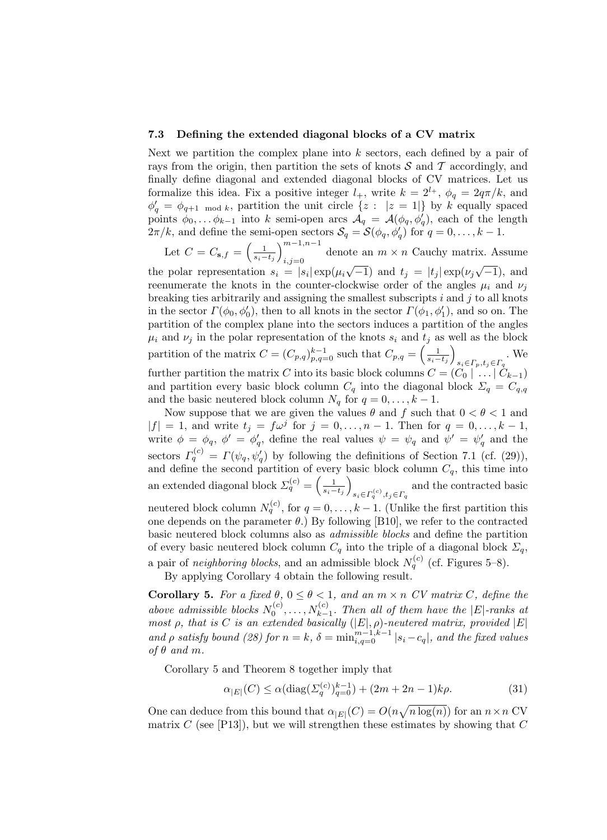#### 7.3 Defining the extended diagonal blocks of a CV matrix

Next we partition the complex plane into  $k$  sectors, each defined by a pair of rays from the origin, then partition the sets of knots  $S$  and  $T$  accordingly, and finally define diagonal and extended diagonal blocks of CV matrices. Let us formalize this idea. Fix a positive integer  $l_+$ , write  $k = 2^{l_+}$ ,  $\phi_q = 2q\pi/k$ , and  $\phi'_{q} = \phi_{q+1 \mod k}$ , partition the unit circle  $\{z : |z = 1|\}$  by k equally spaced points  $\phi_0, \ldots, \phi_{k-1}$  into k semi-open arcs  $\mathcal{A}_q = \mathcal{A}(\phi_q, \phi'_q)$ , each of the length  $2\pi/k$ , and define the semi-open sectors  $\mathcal{S}_q = \mathcal{S}(\phi_q, \phi'_q)$  for  $q = 0, \ldots, k - 1$ .

Let  $C = C_{\mathbf{s},f} = \left(\frac{1}{s_i - t_j}\right)_{i=1}^{m-1,n-1}$ denote an  $m \times n$  Cauchy matrix. Assume the polar representation  $s_i = |s_i| \exp(\mu_i \sqrt{-1})$  and  $t_j = |t_j| \exp(\nu_j \sqrt{-1})$ , and √ √ reenumerate the knots in the counter-clockwise order of the angles  $\mu_i$  and  $\nu_j$ breaking ties arbitrarily and assigning the smallest subscripts  $i$  and  $j$  to all knots in the sector  $\Gamma(\phi_0, \phi'_0)$ , then to all knots in the sector  $\Gamma(\phi_1, \phi'_1)$ , and so on. The partition of the complex plane into the sectors induces a partition of the angles  $\mu_i$  and  $\nu_j$  in the polar representation of the knots  $s_i$  and  $t_j$  as well as the block partition of the matrix  $C = (C_{p,q})_{p,q=0}^{k-1}$  such that  $C_{p,q} = \left(\frac{1}{s_i - t_j}\right)$  $s_i \in \Gamma_p, t_j \in \Gamma_q$ . We further partition the matrix C into its basic block columns  $C = (C_0 \mid \ldots \mid C_{k-1})$ and partition every basic block column  $C_q$  into the diagonal block  $\Sigma_q = C_{q,q}$ and the basic neutered block column  $N_q$  for  $q = 0, \ldots, k - 1$ .

Now suppose that we are given the values  $\theta$  and  $f$  such that  $0 < \theta < 1$  and  $|f| = 1$ , and write  $t_j = f\omega^j$  for  $j = 0, \ldots, n-1$ . Then for  $q = 0, \ldots, k-1$ , write  $\phi = \phi_q$ ,  $\phi' = \phi'_q$ , define the real values  $\psi = \psi_q$  and  $\psi' = \psi'_q$  and the sectors  $\Gamma_q^{(c)} = \Gamma(\psi_q, \psi_q)$  by following the definitions of Section 7.1 (cf. (29)), and define the second partition of every basic block column  $C_q$ , this time into an extended diagonal block  $\Sigma_q^{(c)} = \left(\frac{1}{s_i - t_j}\right)$  $s_i \in \Gamma_q^{(c)}, t_j \in \Gamma_q$  and the contracted basic neutered block column  $N_q^{(c)}$ , for  $q = 0, \ldots, k-1$ . (Unlike the first partition this

one depends on the parameter  $\theta$ .) By following [B10], we refer to the contracted basic neutered block columns also as admissible blocks and define the partition of every basic neutered block column  $C_q$  into the triple of a diagonal block  $\Sigma_q$ , a pair of *neighboring blocks*, and an admissible block  $N_q^{(c)}$  (cf. Figures 5–8).

By applying Corollary 4 obtain the following result.

**Corollary 5.** For a fixed  $\theta$ ,  $0 \le \theta < 1$ , and an  $m \times n$  CV matrix C, define the above admissible blocks  $N_0^{(c)}, \ldots, N_{k-1}^{(c)}$ . Then all of them have the |E|-ranks at most  $\rho$ , that is C is an extended basically  $(|E|, \rho)$ -neutered matrix, provided  $|E|$ and  $\rho$  satisfy bound (28) for  $n = k$ ,  $\delta = \min_{i,q=0}^{m-1,k-1} |s_i - c_q|$ , and the fixed values of  $\theta$  and m.

Corollary 5 and Theorem 8 together imply that

$$
\alpha_{|E|}(C) \le \alpha (\text{diag}(\Sigma_q^{(c)})_{q=0}^{k-1}) + (2m + 2n - 1)k\rho. \tag{31}
$$

One can deduce from this bound that  $\alpha_{|E|}(C) = O(n\sqrt{n \log(n)})$  for an  $n \times n$  CV matrix C (see [P13]), but we will strengthen these estimates by showing that C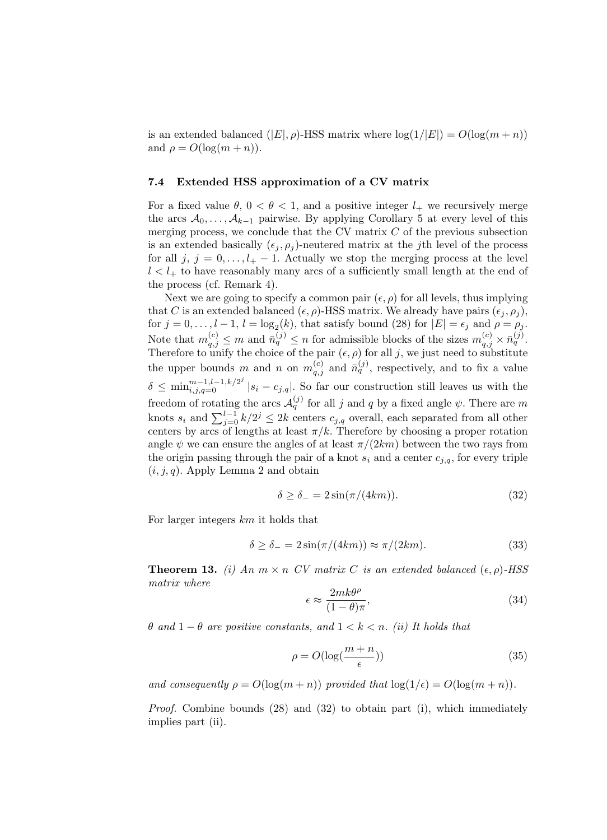is an extended balanced  $(|E|, \rho)$ -HSS matrix where  $log(1/|E|) = O(log(m + n))$ and  $\rho = O(\log(m+n)).$ 

#### 7.4 Extended HSS approximation of a CV matrix

For a fixed value  $\theta$ ,  $0 < \theta < 1$ , and a positive integer  $l_{+}$  we recursively merge the arcs  $A_0, \ldots, A_{k-1}$  pairwise. By applying Corollary 5 at every level of this merging process, we conclude that the CV matrix  $C$  of the previous subsection is an extended basically  $(\epsilon_j, \rho_j)$ -neutered matrix at the jth level of the process for all j,  $j = 0, \ldots, l_{+} - 1$ . Actually we stop the merging process at the level  $l < l_+$  to have reasonably many arcs of a sufficiently small length at the end of the process (cf. Remark 4).

Next we are going to specify a common pair  $(\epsilon, \rho)$  for all levels, thus implying that C is an extended balanced  $(\epsilon, \rho)$ -HSS matrix. We already have pairs  $(\epsilon_j, \rho_j)$ , for  $j = 0, \ldots, l - 1, l = \log_2(k)$ , that satisfy bound (28) for  $|E| = \epsilon_j$  and  $\rho = \rho_j$ . Note that  $m_{q,j}^{(c)} \leq m$  and  $\bar{n}_q^{(j)} \leq n$  for admissible blocks of the sizes  $m_{q,j}^{(c)} \times \bar{n}_q^{(j)}$ . Therefore to unify the choice of the pair  $(\epsilon, \rho)$  for all j, we just need to substitute the upper bounds m and n on  $m_{q,j}^{(c)}$  and  $\bar{n}_q^{(j)}$ , respectively, and to fix a value  $\delta \leq \min_{i,j,q=0}^{m-1,l-1,k/2^j} |s_i - c_{j,q}|$ . So far our construction still leaves us with the freedom of rotating the arcs  $\mathcal{A}_q^{(j)}$  for all j and q by a fixed angle  $\psi$ . There are m knots  $s_i$  and  $\sum_{j=0}^{l-1} k/2^j \leq 2k$  centers  $c_{j,q}$  overall, each separated from all other centers by arcs of lengths at least  $\pi/k$ . Therefore by choosing a proper rotation angle  $\psi$  we can ensure the angles of at least  $\pi/(2km)$  between the two rays from the origin passing through the pair of a knot  $s_i$  and a center  $c_{i,q}$ , for every triple  $(i, j, q)$ . Apply Lemma 2 and obtain

$$
\delta \ge \delta_- = 2\sin(\pi/(4km)).\tag{32}
$$

For larger integers km it holds that

$$
\delta \ge \delta_- = 2\sin(\pi/(4km)) \approx \pi/(2km). \tag{33}
$$

**Theorem 13.** (i) An  $m \times n$  CV matrix C is an extended balanced  $(\epsilon, \rho)$ -HSS matrix where

$$
\epsilon \approx \frac{2mk\theta^{\rho}}{(1-\theta)\pi},\tag{34}
$$

θ and 1 − θ are positive constants, and 1 < k < n. (ii) It holds that

$$
\rho = O(\log(\frac{m+n}{\epsilon}))\tag{35}
$$

and consequently  $\rho = O(\log(m+n))$  provided that  $\log(1/\epsilon) = O(\log(m+n)).$ 

Proof. Combine bounds (28) and (32) to obtain part (i), which immediately implies part (ii).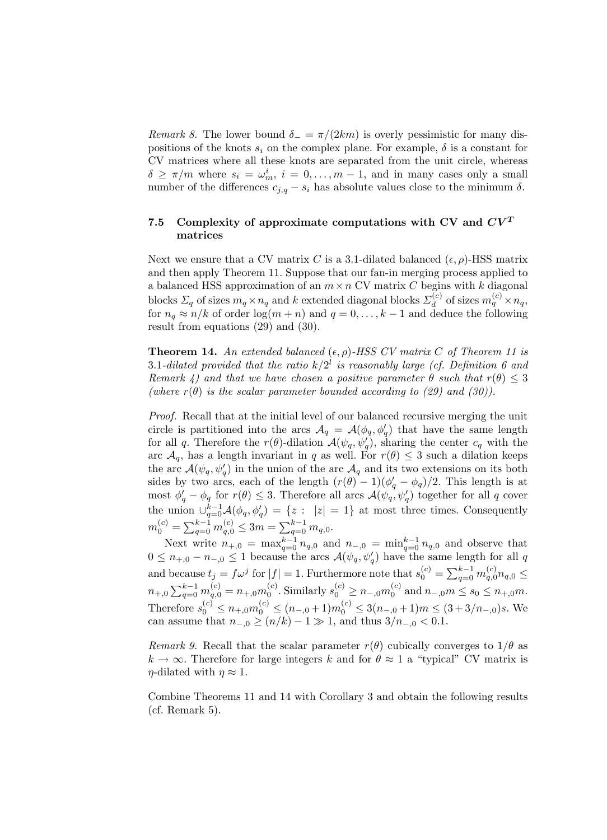Remark 8. The lower bound  $\delta_-\equiv \pi/(2km)$  is overly pessimistic for many dispositions of the knots  $s_i$  on the complex plane. For example,  $\delta$  is a constant for CV matrices where all these knots are separated from the unit circle, whereas  $\delta \geq \pi/m$  where  $s_i = \omega_m^i$ ,  $i = 0, \ldots, m-1$ , and in many cases only a small number of the differences  $c_{j,q} - s_i$  has absolute values close to the minimum  $\delta$ .

## 7.5 Complexity of approximate computations with CV and  $CV<sup>T</sup>$ matrices

Next we ensure that a CV matrix C is a 3.1-dilated balanced  $(\epsilon, \rho)$ -HSS matrix and then apply Theorem 11. Suppose that our fan-in merging process applied to a balanced HSS approximation of an  $m \times n$  CV matrix C begins with k diagonal blocks  $\Sigma_q$  of sizes  $m_q \times n_q$  and k extended diagonal blocks  $\Sigma_d^{(c)}$  $m_d^{(c)}$  of sizes  $m_q^{(c)} \times n_q$ , for  $n_q \approx n/k$  of order  $\log(m+n)$  and  $q=0,\ldots,k-1$  and deduce the following result from equations (29) and (30).

**Theorem 14.** An extended balanced  $(\epsilon, \rho)$ -HSS CV matrix C of Theorem 11 is 3.1-dilated provided that the ratio  $k/2^l$  is reasonably large (cf. Definition 6 and Remark 4) and that we have chosen a positive parameter  $\theta$  such that  $r(\theta) \leq 3$ (where  $r(\theta)$  is the scalar parameter bounded according to (29) and (30)).

Proof. Recall that at the initial level of our balanced recursive merging the unit circle is partitioned into the arcs  $\mathcal{A}_q = \mathcal{A}(\phi_q, \phi'_q)$  that have the same length for all q. Therefore the  $r(\theta)$ -dilation  $\mathcal{A}(\psi_q, \psi'_q)$ , sharing the center  $c_q$  with the arc  $\mathcal{A}_q$ , has a length invariant in q as well. For  $r(\theta) \leq 3$  such a dilation keeps the arc  $\mathcal{A}(\psi_q, \psi'_q)$  in the union of the arc  $\mathcal{A}_q$  and its two extensions on its both sides by two arcs, each of the length  $(r(\theta) - 1)(\phi_q' - \phi_q)/2$ . This length is at most  $\phi'_q - \phi_q$  for  $r(\theta) \leq 3$ . Therefore all arcs  $\mathcal{A}(\psi_q, \psi'_q)$  together for all q cover the union  $\bigcup_{q=0}^{k-1} A(\phi_q, \phi'_q) = \{z : |z| = 1\}$  at most three times. Consequently  $m_0^{(c)} = \sum_{q=0}^{k-1} m_{q,0}^{(c)} \leq 3m = \sum_{q=0}^{k-1} m_{q,0}.$ 

Next write  $n_{+,0} = \max_{q=0}^{k-1} n_{q,0}$  and  $n_{-,0} = \min_{q=0}^{k-1} n_{q,0}$  and observe that  $0 \leq n_{+,0} - n_{-,0} \leq 1$  because the arcs  $\mathcal{A}(\psi_q, \psi_q')$  have the same length for all q and because  $t_j = f\omega^j$  for  $|f| = 1$ . Furthermore note that  $s_0^{(c)} = \sum_{q=0}^{k-1} m_{q,0}^{(c)} n_{q,0} \leq$  $n_{+,0}\sum_{q=0}^{k-1}m_{q,0}^{(c)}=n_{+,0}m_0^{(c)}$ . Similarly  $s_0^{(c)}\geq n_{-,0}m_0^{(c)}$  and  $n_{-,0}m\leq s_0\leq n_{+,0}m$ . Therefore  $s_0^{(c)} \leq n_{+,0} m_0^{(c)} \leq (n_{-,0}+1) m_0^{(c)} \leq 3(n_{-,0}+1) m \leq (3+3/n_{-,0}) s$ . We can assume that  $n_{-,0} \ge (n/k) - 1 \gg 1$ , and thus  $3/n_{-,0} < 0.1$ .

Remark 9. Recall that the scalar parameter  $r(\theta)$  cubically converges to  $1/\theta$  as  $k \to \infty$ . Therefore for large integers k and for  $\theta \approx 1$  a "typical" CV matrix is  $\eta$ -dilated with  $\eta \approx 1$ .

Combine Theorems 11 and 14 with Corollary 3 and obtain the following results (cf. Remark 5).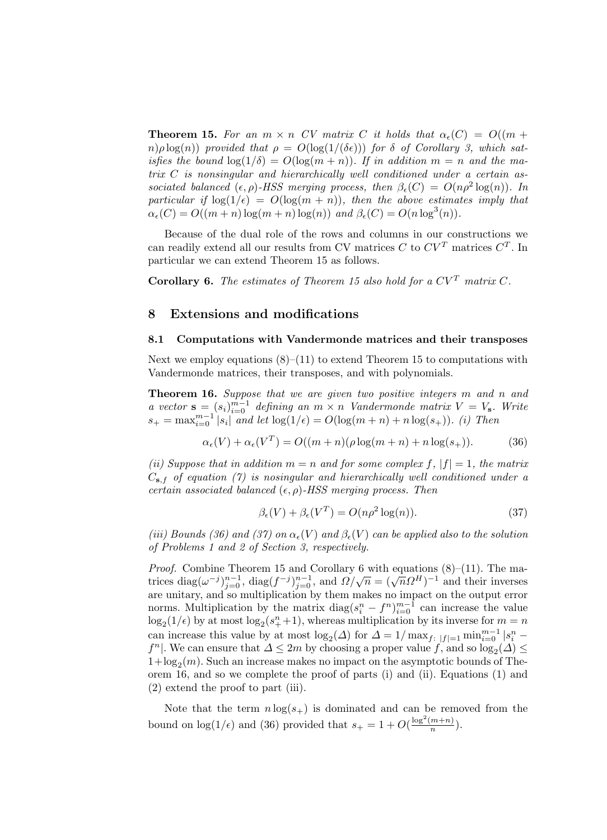**Theorem 15.** For an  $m \times n$  CV matrix C it holds that  $\alpha_{\epsilon}(C) = O((m +$  $n(\rho \log(n))$  provided that  $\rho = O(\log(1/(\delta \epsilon)))$  for  $\delta$  of Corollary 3, which satisfies the bound  $\log(1/\delta) = O(\log(m+n))$ . If in addition  $m = n$  and the matrix C is nonsingular and hierarchically well conditioned under a certain associated balanced  $(\epsilon, \rho)$ -HSS merging process, then  $\beta_{\epsilon}(C) = O(n \rho^2 \log(n))$ . In particular if  $\log(1/\epsilon) = O(\log(m+n))$ , then the above estimates imply that  $\alpha_{\epsilon}(C) = O((m+n)\log(m+n)\log(n))$  and  $\beta_{\epsilon}(C) = O(n\log^3(n)).$ 

Because of the dual role of the rows and columns in our constructions we can readily extend all our results from CV matrices C to  $CV<sup>T</sup>$  matrices  $C<sup>T</sup>$ . In particular we can extend Theorem 15 as follows.

**Corollary 6.** The estimates of Theorem 15 also hold for a  $CV^T$  matrix  $C$ .

### 8 Extensions and modifications

#### 8.1 Computations with Vandermonde matrices and their transposes

Next we employ equations  $(8)$ – $(11)$  to extend Theorem 15 to computations with Vandermonde matrices, their transposes, and with polynomials.

Theorem 16. Suppose that we are given two positive integers m and n and a vector  $\mathbf{s} = (s_i)_{i=0}^{m-1}$  defining an  $m \times n$  Vandermonde matrix  $V = V_{\mathbf{s}}$ . Write  $s_{+} = \max_{i=0}^{m-1} |s_{i}|$  and let  $\log(1/\epsilon) = O(\log(m+n) + n \log(s_{+}))$ . (i) Then

$$
\alpha_{\epsilon}(V) + \alpha_{\epsilon}(V^{T}) = O((m+n)(\rho \log(m+n) + n \log(s_{+})).
$$
 (36)

(ii) Suppose that in addition  $m = n$  and for some complex f,  $|f| = 1$ , the matrix  $C_{s,f}$  of equation (7) is nosingular and hierarchically well conditioned under a certain associated balanced  $(\epsilon, \rho)$ -HSS merging process. Then

$$
\beta_{\epsilon}(V) + \beta_{\epsilon}(V^T) = O(n\rho^2 \log(n)). \tag{37}
$$

(iii) Bounds (36) and (37) on  $\alpha_{\epsilon}(V)$  and  $\beta_{\epsilon}(V)$  can be applied also to the solution of Problems 1 and 2 of Section 3, respectively.

*Proof.* Combine Theorem 15 and Corollary 6 with equations  $(8)$ –(11). The ma-*Froof.* Combine Theorem 15 and Coronary 6 with equations ( $\delta$ )–(11). The matrices diag( $\omega^{-j}$ )<sub> $j=0$ </sub>, diag( $f^{-j}$ ) $j=0$ , and  $\Omega/\sqrt{n} = (\sqrt{n}\Omega^H)^{-1}$  and their inverses are unitary, and so multiplication by them makes no impact on the output error norms. Multiplication by the matrix  $diag(s_i^n - f^n)_{i=0}^{m-1}$  can increase the value  $\log_2(1/\epsilon)$  by at most  $\log_2(s_+^n+1)$ , whereas multiplication by its inverse for  $m = n$ can increase this value by at most  $\log_2(\Delta)$  for  $\Delta = 1/\max_{f: |f|=1} \min_{i=0}^{m-1} |s_i^n$  $f<sup>n</sup>$ . We can ensure that  $\Delta \leq 2m$  by choosing a proper value  $f$ , and so  $\log_2(\Delta) \leq$  $1 + \log_2(m)$ . Such an increase makes no impact on the asymptotic bounds of Theorem 16, and so we complete the proof of parts (i) and (ii). Equations (1) and (2) extend the proof to part (iii).

Note that the term  $n \log(s_+)$  is dominated and can be removed from the bound on  $\log(1/\epsilon)$  and (36) provided that  $s_+ = 1 + O(\frac{\log^2(m+n)}{n})$  $\frac{m+nj}{n}$ ).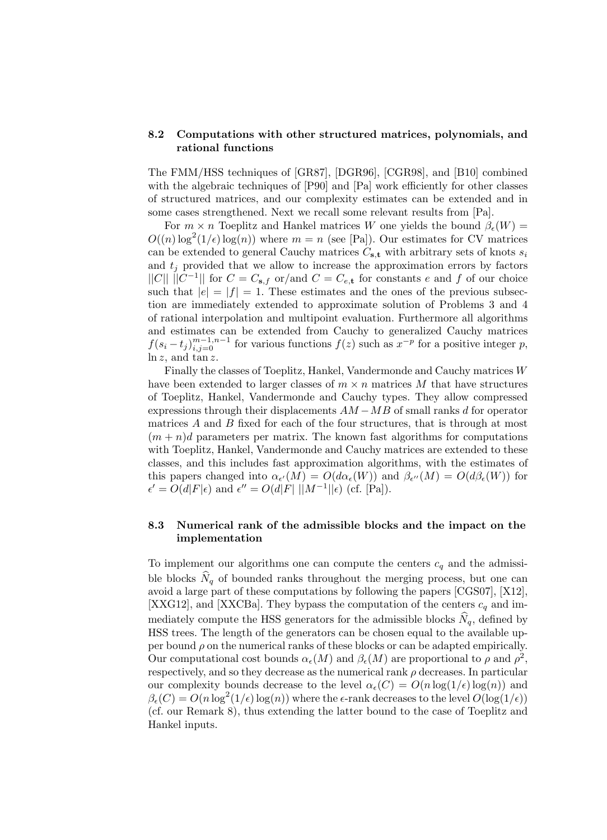## 8.2 Computations with other structured matrices, polynomials, and rational functions

The FMM/HSS techniques of [GR87], [DGR96], [CGR98], and [B10] combined with the algebraic techniques of [P90] and [Pa] work efficiently for other classes of structured matrices, and our complexity estimates can be extended and in some cases strengthened. Next we recall some relevant results from [Pa].

For  $m \times n$  Toeplitz and Hankel matrices W one yields the bound  $\beta_{\epsilon}(W)$  =  $O((n) \log^2(1/\epsilon) \log(n))$  where  $m = n$  (see [Pa]). Our estimates for CV matrices can be extended to general Cauchy matrices  $C_{s,t}$  with arbitrary sets of knots  $s_i$ and  $t_i$  provided that we allow to increase the approximation errors by factors  $||C|| ||C^{-1}||$  for  $C = C_{\mathbf{s},f}$  or/and  $C = C_{e,\mathbf{t}}$  for constants e and f of our choice such that  $|e| = |f| = 1$ . These estimates and the ones of the previous subsection are immediately extended to approximate solution of Problems 3 and 4 of rational interpolation and multipoint evaluation. Furthermore all algorithms and estimates can be extended from Cauchy to generalized Cauchy matrices  $f(s_i - t_j)_{i,j=0}^{m-1,n-1}$  for various functions  $f(z)$  such as  $x^{-p}$  for a positive integer p,  $ln z$ , and  $tan z$ .

Finally the classes of Toeplitz, Hankel, Vandermonde and Cauchy matrices W have been extended to larger classes of  $m \times n$  matrices M that have structures of Toeplitz, Hankel, Vandermonde and Cauchy types. They allow compressed expressions through their displacements  $AM - MB$  of small ranks d for operator matrices A and B fixed for each of the four structures, that is through at most  $(m + n)d$  parameters per matrix. The known fast algorithms for computations with Toeplitz, Hankel, Vandermonde and Cauchy matrices are extended to these classes, and this includes fast approximation algorithms, with the estimates of this papers changed into  $\alpha_{\epsilon'}(M) = O(d\alpha_{\epsilon}(W))$  and  $\beta_{\epsilon''}(M) = O(d\beta_{\epsilon}(W))$  for  $\epsilon' = O(d|F|\epsilon)$  and  $\epsilon'' = O(d|F| ||M^{-1}||\epsilon)$  (cf. [Pa]).

## 8.3 Numerical rank of the admissible blocks and the impact on the implementation

To implement our algorithms one can compute the centers  $c_q$  and the admissible blocks  $N_q$  of bounded ranks throughout the merging process, but one can avoid a large part of these computations by following the papers [CGS07], [X12], [XXG12], and [XXCBa]. They bypass the computation of the centers  $c_q$  and immediately compute the HSS generators for the admissible blocks  $N_q$ , defined by HSS trees. The length of the generators can be chosen equal to the available upper bound  $\rho$  on the numerical ranks of these blocks or can be adapted empirically. Our computational cost bounds  $\alpha_{\epsilon}(M)$  and  $\beta_{\epsilon}(M)$  are proportional to  $\rho$  and  $\rho^2$ , respectively, and so they decrease as the numerical rank  $\rho$  decreases. In particular our complexity bounds decrease to the level  $\alpha_{\epsilon}(C) = O(n \log(1/\epsilon) \log(n))$  and  $\beta_{\epsilon}(C) = O(n \log^2(1/\epsilon) \log(n))$  where the  $\epsilon$ -rank decreases to the level  $O(\log(1/\epsilon))$ (cf. our Remark 8), thus extending the latter bound to the case of Toeplitz and Hankel inputs.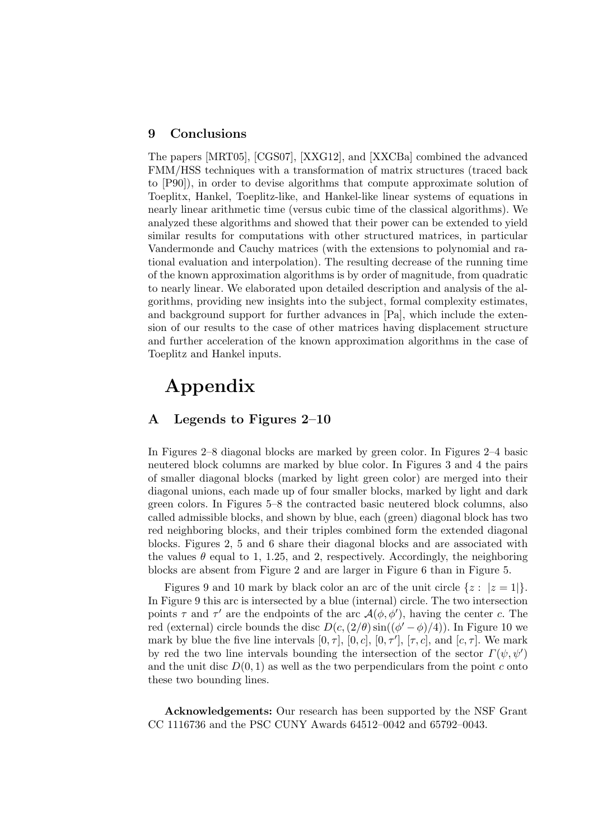## 9 Conclusions

The papers [MRT05], [CGS07], [XXG12], and [XXCBa] combined the advanced FMM/HSS techniques with a transformation of matrix structures (traced back to [P90]), in order to devise algorithms that compute approximate solution of Toeplitx, Hankel, Toeplitz-like, and Hankel-like linear systems of equations in nearly linear arithmetic time (versus cubic time of the classical algorithms). We analyzed these algorithms and showed that their power can be extended to yield similar results for computations with other structured matrices, in particular Vandermonde and Cauchy matrices (with the extensions to polynomial and rational evaluation and interpolation). The resulting decrease of the running time of the known approximation algorithms is by order of magnitude, from quadratic to nearly linear. We elaborated upon detailed description and analysis of the algorithms, providing new insights into the subject, formal complexity estimates, and background support for further advances in [Pa], which include the extension of our results to the case of other matrices having displacement structure and further acceleration of the known approximation algorithms in the case of Toeplitz and Hankel inputs.

## Appendix

## A Legends to Figures 2–10

In Figures 2–8 diagonal blocks are marked by green color. In Figures 2–4 basic neutered block columns are marked by blue color. In Figures 3 and 4 the pairs of smaller diagonal blocks (marked by light green color) are merged into their diagonal unions, each made up of four smaller blocks, marked by light and dark green colors. In Figures 5–8 the contracted basic neutered block columns, also called admissible blocks, and shown by blue, each (green) diagonal block has two red neighboring blocks, and their triples combined form the extended diagonal blocks. Figures 2, 5 and 6 share their diagonal blocks and are associated with the values  $\theta$  equal to 1, 1.25, and 2, respectively. Accordingly, the neighboring blocks are absent from Figure 2 and are larger in Figure 6 than in Figure 5.

Figures 9 and 10 mark by black color an arc of the unit circle  $\{z : |z=1|\}$ . In Figure 9 this arc is intersected by a blue (internal) circle. The two intersection points  $\tau$  and  $\tau'$  are the endpoints of the arc  $\mathcal{A}(\phi, \phi')$ , having the center c. The red (external) circle bounds the disc  $D(c, (2/\theta) \sin((\phi' - \phi)/4))$ . In Figure 10 we mark by blue the five line intervals  $[0, \tau]$ ,  $[0, c]$ ,  $[0, \tau']$ ,  $[\tau, c]$ , and  $[c, \tau]$ . We mark by red the two line intervals bounding the intersection of the sector  $\Gamma(\psi, \psi')$ and the unit disc  $D(0, 1)$  as well as the two perpendiculars from the point c onto these two bounding lines.

Acknowledgements: Our research has been supported by the NSF Grant CC 1116736 and the PSC CUNY Awards 64512–0042 and 65792–0043.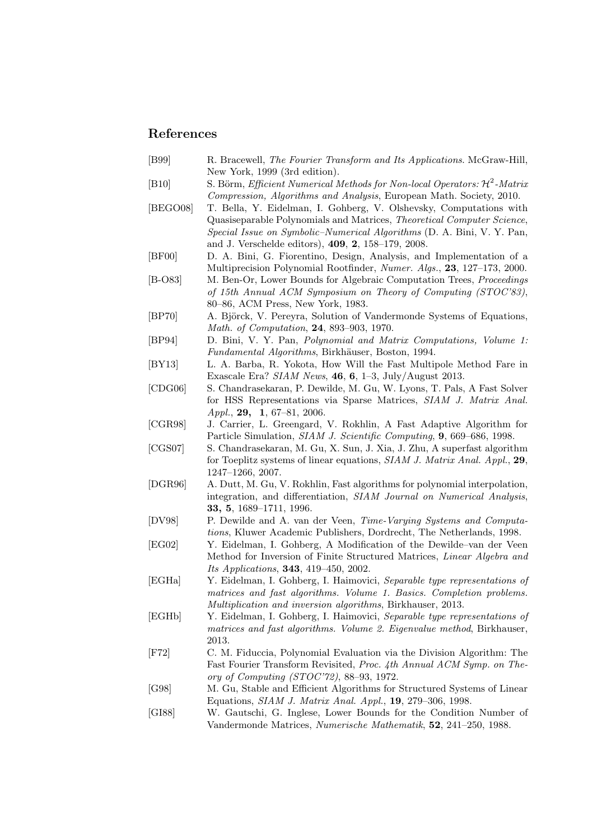## References

- [B99] R. Bracewell, The Fourier Transform and Its Applications. McGraw-Hill, New York, 1999 (3rd edition).
- [B10] S. Börm, *Efficient Numerical Methods for Non-local Operators:*  $\mathcal{H}^2$ -*Matrix* Compression, Algorithms and Analysis, European Math. Society, 2010.
- [BEGO08] T. Bella, Y. Eidelman, I. Gohberg, V. Olshevsky, Computations with Quasiseparable Polynomials and Matrices, Theoretical Computer Science, Special Issue on Symbolic–Numerical Algorithms (D. A. Bini, V. Y. Pan, and J. Verschelde editors), 409, 2, 158–179, 2008.
- [BF00] D. A. Bini, G. Fiorentino, Design, Analysis, and Implementation of a Multiprecision Polynomial Rootfinder, Numer. Algs., 23, 127–173, 2000.
- [B-O83] M. Ben-Or, Lower Bounds for Algebraic Computation Trees, Proceedings of 15th Annual ACM Symposium on Theory of Computing (STOC'83), 80–86, ACM Press, New York, 1983.
- [BP70] A. Björck, V. Pereyra, Solution of Vandermonde Systems of Equations, Math. of Computation, 24, 893–903, 1970.
- [BP94] D. Bini, V. Y. Pan, Polynomial and Matrix Computations, Volume 1: Fundamental Algorithms, Birkhäuser, Boston, 1994.
- [BY13] L. A. Barba, R. Yokota, How Will the Fast Multipole Method Fare in Exascale Era? SIAM News, 46, 6, 1–3, July/August 2013.
- [CDG06] S. Chandrasekaran, P. Dewilde, M. Gu, W. Lyons, T. Pals, A Fast Solver for HSS Representations via Sparse Matrices, SIAM J. Matrix Anal. Appl., 29, 1, 67-81, 2006.
- [CGR98] J. Carrier, L. Greengard, V. Rokhlin, A Fast Adaptive Algorithm for Particle Simulation, SIAM J. Scientific Computing, 9, 669–686, 1998.
- [CGS07] S. Chandrasekaran, M. Gu, X. Sun, J. Xia, J. Zhu, A superfast algorithm for Toeplitz systems of linear equations, SIAM J. Matrix Anal. Appl., 29, 1247–1266, 2007.
- [DGR96] A. Dutt, M. Gu, V. Rokhlin, Fast algorithms for polynomial interpolation, integration, and differentiation, SIAM Journal on Numerical Analysis, 33, 5, 1689–1711, 1996.
- [DV98] P. Dewilde and A. van der Veen, Time-Varying Systems and Computations, Kluwer Academic Publishers, Dordrecht, The Netherlands, 1998.
- [EG02] Y. Eidelman, I. Gohberg, A Modification of the Dewilde–van der Veen Method for Inversion of Finite Structured Matrices, Linear Algebra and Its Applications, 343, 419–450, 2002.
- [EGHa] Y. Eidelman, I. Gohberg, I. Haimovici, Separable type representations of matrices and fast algorithms. Volume 1. Basics. Completion problems. Multiplication and inversion algorithms, Birkhauser, 2013.
- [EGHb] Y. Eidelman, I. Gohberg, I. Haimovici, Separable type representations of matrices and fast algorithms. Volume 2. Eigenvalue method, Birkhauser, 2013.
- [F72] C. M. Fiduccia, Polynomial Evaluation via the Division Algorithm: The Fast Fourier Transform Revisited, Proc. 4th Annual ACM Symp. on Theory of Computing (STOC'72), 88–93, 1972.
- [G98] M. Gu, Stable and Efficient Algorithms for Structured Systems of Linear Equations, SIAM J. Matrix Anal. Appl., 19, 279–306, 1998.
- [GI88] W. Gautschi, G. Inglese, Lower Bounds for the Condition Number of Vandermonde Matrices, Numerische Mathematik, 52, 241–250, 1988.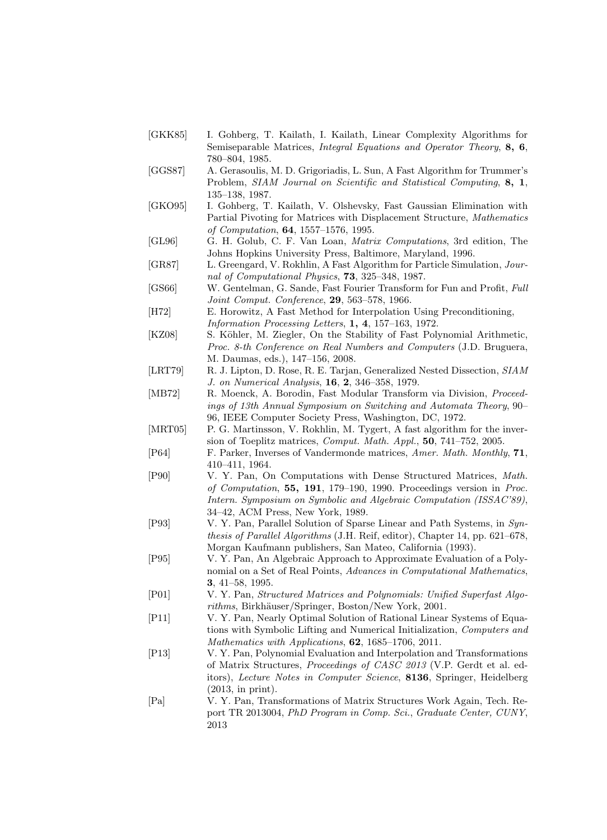- [GKK85] I. Gohberg, T. Kailath, I. Kailath, Linear Complexity Algorithms for Semiseparable Matrices, *Integral Equations and Operator Theory*, 8, 6, 780–804, 1985.
- [GGS87] A. Gerasoulis, M. D. Grigoriadis, L. Sun, A Fast Algorithm for Trummer's Problem, SIAM Journal on Scientific and Statistical Computing, 8, 1, 135–138, 1987.
- [GKO95] I. Gohberg, T. Kailath, V. Olshevsky, Fast Gaussian Elimination with Partial Pivoting for Matrices with Displacement Structure, Mathematics of Computation, 64, 1557–1576, 1995.
- [GL96] G. H. Golub, C. F. Van Loan, Matrix Computations, 3rd edition, The Johns Hopkins University Press, Baltimore, Maryland, 1996.
- [GR87] L. Greengard, V. Rokhlin, A Fast Algorithm for Particle Simulation, Journal of Computational Physics, 73, 325–348, 1987.
- [GS66] W. Gentelman, G. Sande, Fast Fourier Transform for Fun and Profit, Full Joint Comput. Conference, 29, 563–578, 1966.
- [H72] E. Horowitz, A Fast Method for Interpolation Using Preconditioning, Information Processing Letters, 1, 4, 157–163, 1972.
- [KZ08] S. Köhler, M. Ziegler, On the Stability of Fast Polynomial Arithmetic, Proc. 8-th Conference on Real Numbers and Computers (J.D. Bruguera, M. Daumas, eds.), 147–156, 2008.
- [LRT79] R. J. Lipton, D. Rose, R. E. Tarjan, Generalized Nested Dissection, SIAM J. on Numerical Analysis, 16, 2, 346–358, 1979.
- [MB72] R. Moenck, A. Borodin, Fast Modular Transform via Division, Proceedings of 13th Annual Symposium on Switching and Automata Theory, 90– 96, IEEE Computer Society Press, Washington, DC, 1972.
- [MRT05] P. G. Martinsson, V. Rokhlin, M. Tygert, A fast algorithm for the inversion of Toeplitz matrices, Comput. Math. Appl., 50, 741–752, 2005.
- [P64] F. Parker, Inverses of Vandermonde matrices, Amer. Math. Monthly, 71, 410–411, 1964.
- [P90] V. Y. Pan, On Computations with Dense Structured Matrices, Math. of Computation, 55, 191, 179–190, 1990. Proceedings version in Proc. Intern. Symposium on Symbolic and Algebraic Computation (ISSAC'89), 34–42, ACM Press, New York, 1989.
- [P93] V. Y. Pan, Parallel Solution of Sparse Linear and Path Systems, in Synthesis of Parallel Algorithms (J.H. Reif, editor), Chapter 14, pp. 621–678, Morgan Kaufmann publishers, San Mateo, California (1993).
- [P95] V. Y. Pan, An Algebraic Approach to Approximate Evaluation of a Polynomial on a Set of Real Points, Advances in Computational Mathematics, 3, 41–58, 1995.
- [P01] V. Y. Pan, Structured Matrices and Polynomials: Unified Superfast Algorithms, Birkhäuser/Springer, Boston/New York, 2001.
- [P11] V. Y. Pan, Nearly Optimal Solution of Rational Linear Systems of Equations with Symbolic Lifting and Numerical Initialization, Computers and Mathematics with Applications, 62, 1685–1706, 2011.
- [P13] V. Y. Pan, Polynomial Evaluation and Interpolation and Transformations of Matrix Structures, Proceedings of CASC 2013 (V.P. Gerdt et al. editors), Lecture Notes in Computer Science, 8136, Springer, Heidelberg (2013, in print).
- [Pa] V. Y. Pan, Transformations of Matrix Structures Work Again, Tech. Report TR 2013004, PhD Program in Comp. Sci., Graduate Center, CUNY, 2013